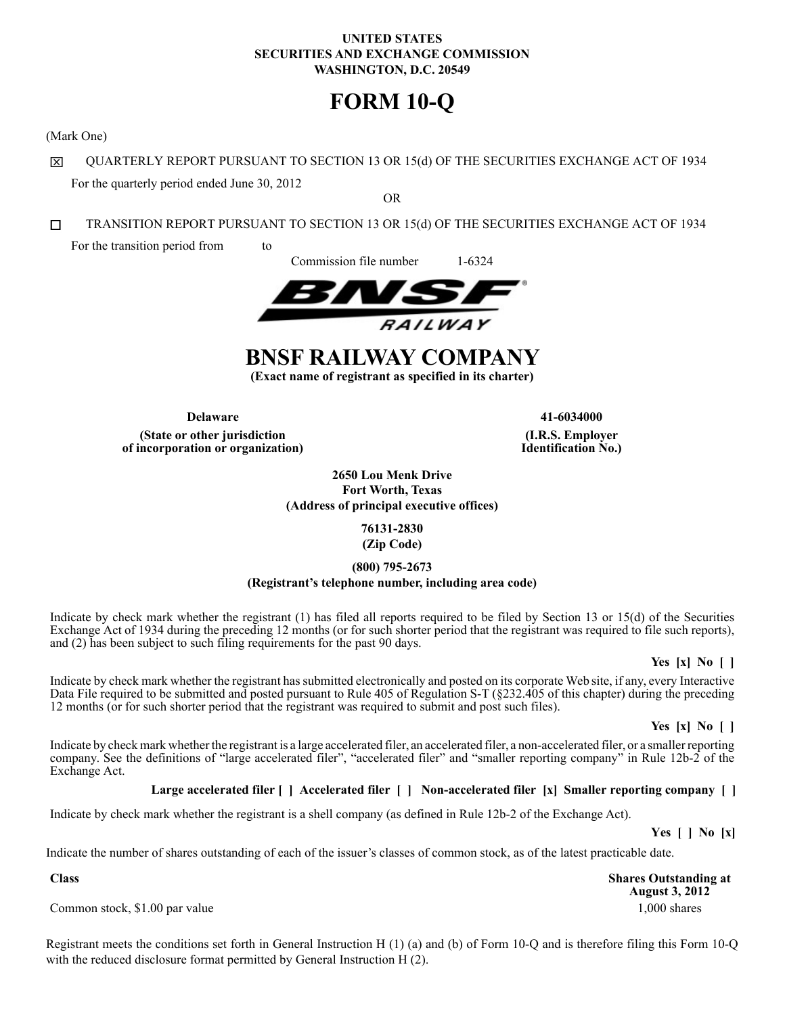# **UNITED STATES SECURITIES AND EXCHANGE COMMISSION WASHINGTON, D.C. 20549**

# **FORM 10-Q**

(Mark One)

区 QUARTERLY REPORT PURSUANT TO SECTION 13 OR 15(d) OF THE SECURITIES EXCHANGE ACT OF 1934 For the quarterly period ended June 30, 2012

OR

 $\Box$ TRANSITION REPORT PURSUANT TO SECTION 13 OR 15(d) OF THE SECURITIES EXCHANGE ACT OF 1934

For the transition period from to

Commission file number 1-6324



# **BNSF RAILWAY COMPANY**

**(Exact name of registrant as specified in its charter)**

**Delaware 41-6034000 (State or other jurisdiction of incorporation or organization)**

**(I.R.S. Employer Identification No.)**

**2650 Lou Menk Drive Fort Worth, Texas (Address of principal executive offices)**

> **76131-2830 (Zip Code)**

**(800) 795-2673**

**(Registrant's telephone number, including area code)**

Indicate by check mark whether the registrant (1) has filed all reports required to be filed by Section 13 or 15(d) of the Securities Exchange Act of 1934 during the preceding 12 months (or for such shorter period that the registrant was required to file such reports), and (2) has been subject to such filing requirements for the past 90 days.

**Yes [x] No [ ]**

Indicate by check mark whether the registrant has submitted electronically and posted on its corporate Web site, if any, every Interactive Data File required to be submitted and posted pursuant to Rule 405 of Regulation S-T (§232.405 of this chapter) during the preceding 12 months (or for such shorter period that the registrant was required to submit and post such files).

**Yes [x] No [ ]**

Indicate by check mark whether the registrant is a large accelerated filer, an accelerated filer, a non-accelerated filer, or a smaller reporting company. See the definitions of "large accelerated filer", "accelerated filer" and "smaller reporting company" in Rule 12b-2 of the Exchange Act.

# **Large accelerated filer [ ] Accelerated filer [ ] Non-accelerated filer [x] Smaller reporting company [ ]**

Indicate by check mark whether the registrant is a shell company (as defined in Rule 12b-2 of the Exchange Act).

**Yes [ ] No [x]**

Indicate the number of shares outstanding of each of the issuer's classes of common stock, as of the latest practicable date.

**Shares Outstanding at August 3, 2012**

Common stock, \$1.00 par value 1,000 shares 1,000 shares 1,000 shares

**Class**

Registrant meets the conditions set forth in General Instruction H (1) (a) and (b) of Form 10-Q and is therefore filing this Form 10-Q with the reduced disclosure format permitted by General Instruction H (2).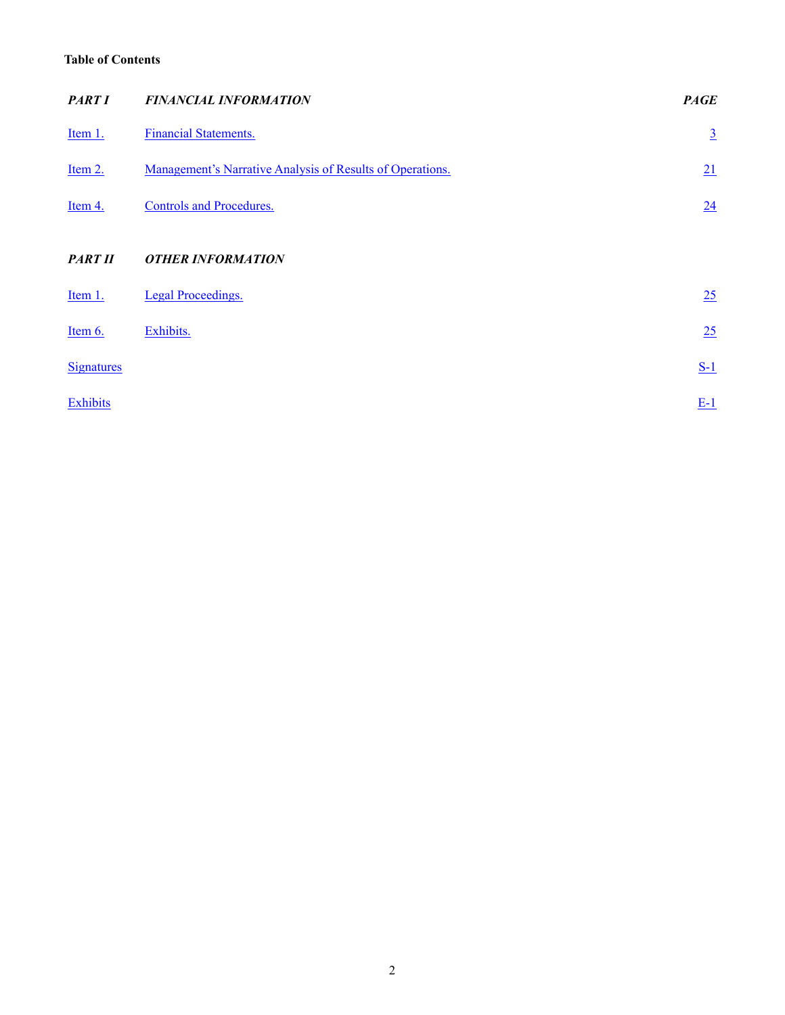# <span id="page-1-0"></span>**Table of Contents**

| <b>PART I</b>     | <b>FINANCIAL INFORMATION</b>                              | <b>PAGE</b>     |
|-------------------|-----------------------------------------------------------|-----------------|
| Item 1.           | <b>Financial Statements.</b>                              | $\underline{3}$ |
| Item 2.           | Management's Narrative Analysis of Results of Operations. | 21              |
| Item 4.           | <b>Controls and Procedures.</b>                           | 24              |
| <b>PART II</b>    | <b>OTHER INFORMATION</b>                                  |                 |
| Item 1.           | <b>Legal Proceedings.</b>                                 | 25              |
| Item 6.           | Exhibits.                                                 | 25              |
| <b>Signatures</b> |                                                           | $S-1$           |
| Exhibits          |                                                           | $E-1$           |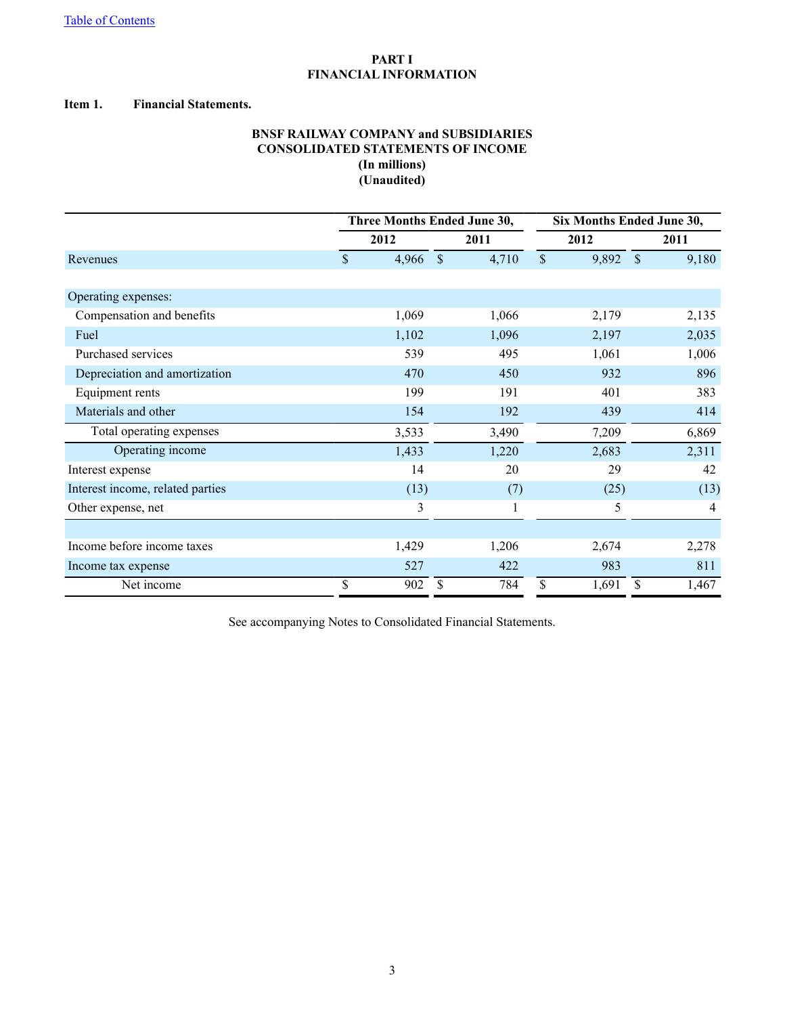# **PART I FINANCIAL INFORMATION**

### <span id="page-2-0"></span>**Item 1. Financial Statements.**

# **BNSF RAILWAY COMPANY and SUBSIDIARIES CONSOLIDATED STATEMENTS OF INCOME (In millions) (Unaudited)**

|                                  |    | Three Months Ended June 30, | Six Months Ended June 30, |       |    |       |               |       |
|----------------------------------|----|-----------------------------|---------------------------|-------|----|-------|---------------|-------|
|                                  |    | 2012                        |                           | 2011  |    | 2012  |               | 2011  |
| Revenues                         | \$ | 4,966                       | $\mathcal{S}$             | 4,710 | \$ | 9,892 | $\mathcal{S}$ | 9,180 |
|                                  |    |                             |                           |       |    |       |               |       |
| Operating expenses:              |    |                             |                           |       |    |       |               |       |
| Compensation and benefits        |    | 1,069                       |                           | 1,066 |    | 2,179 |               | 2,135 |
| Fuel                             |    | 1,102                       |                           | 1,096 |    | 2,197 |               | 2,035 |
| Purchased services               |    | 539                         |                           | 495   |    | 1,061 |               | 1,006 |
| Depreciation and amortization    |    | 470                         |                           | 450   |    | 932   |               | 896   |
| Equipment rents                  |    | 199                         |                           | 191   |    | 401   |               | 383   |
| Materials and other              |    | 154                         |                           | 192   |    | 439   |               | 414   |
| Total operating expenses         |    | 3,533                       |                           | 3,490 |    | 7,209 |               | 6,869 |
| Operating income                 |    | 1,433                       |                           | 1,220 |    | 2,683 |               | 2,311 |
| Interest expense                 |    | 14                          |                           | 20    |    | 29    |               | 42    |
| Interest income, related parties |    | (13)                        |                           | (7)   |    | (25)  |               | (13)  |
| Other expense, net               |    | 3                           |                           | 1     |    | 5     |               | 4     |
|                                  |    |                             |                           |       |    |       |               |       |
| Income before income taxes       |    | 1,429                       |                           | 1,206 |    | 2,674 |               | 2,278 |
| Income tax expense               |    | 527                         |                           | 422   |    | 983   |               | 811   |
| Net income                       | \$ | 902                         | \$                        | 784   | \$ | 1,691 | \$            | 1,467 |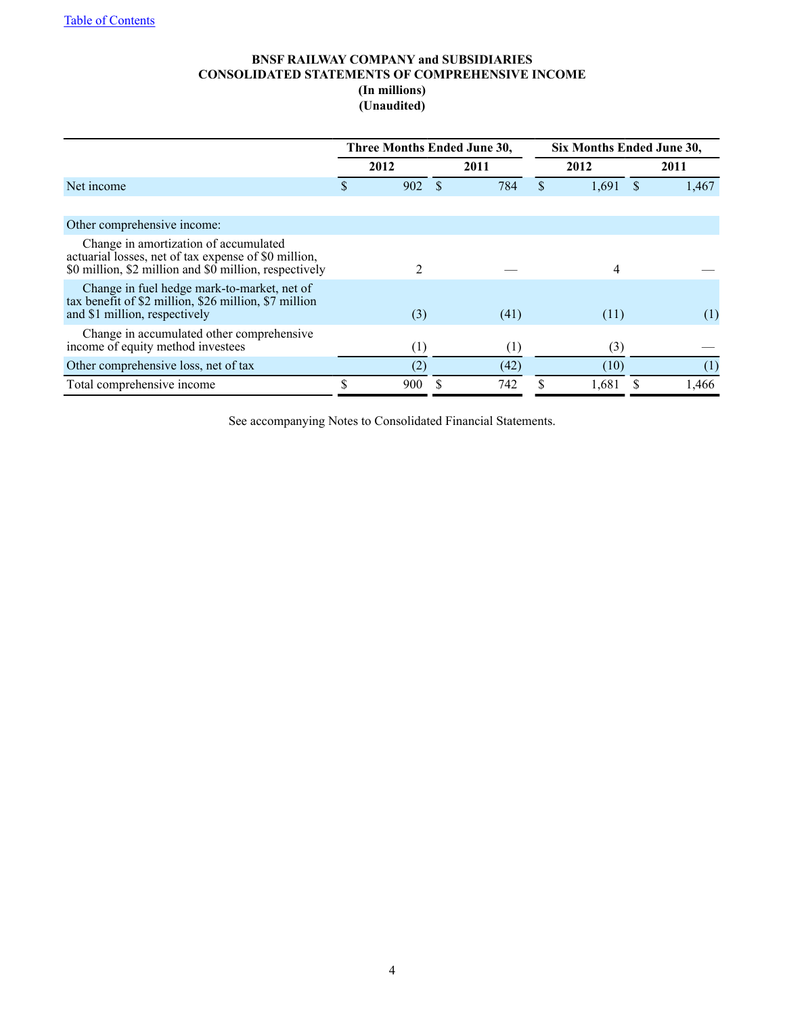# **BNSF RAILWAY COMPANY and SUBSIDIARIES CONSOLIDATED STATEMENTS OF COMPREHENSIVE INCOME (In millions) (Unaudited)**

|                                                                                                                                                         | Three Months Ended June 30, |      | Six Months Ended June 30, |       |  |       |  |
|---------------------------------------------------------------------------------------------------------------------------------------------------------|-----------------------------|------|---------------------------|-------|--|-------|--|
|                                                                                                                                                         | 2012                        | 2011 |                           | 2012  |  | 2011  |  |
| Net income                                                                                                                                              | 902                         | 784  | S                         | 1,691 |  | 1,467 |  |
|                                                                                                                                                         |                             |      |                           |       |  |       |  |
| Other comprehensive income:                                                                                                                             |                             |      |                           |       |  |       |  |
| Change in amortization of accumulated<br>actuarial losses, net of tax expense of \$0 million,<br>\$0 million, \$2 million and \$0 million, respectively | 2                           |      |                           | 4     |  |       |  |
| Change in fuel hedge mark-to-market, net of<br>tax benefit of \$2 million, \$26 million, \$7 million<br>and \$1 million, respectively                   | (3)                         | (41) |                           | (11)  |  | (1)   |  |
| Change in accumulated other comprehensive<br>income of equity method investees                                                                          | (1)                         | (1)  |                           | (3)   |  |       |  |
| Other comprehensive loss, net of tax                                                                                                                    | (2)                         | (42) |                           | (10)  |  | (1)   |  |
| Total comprehensive income                                                                                                                              | \$<br>900                   | 742  |                           | 1.681 |  | 1,466 |  |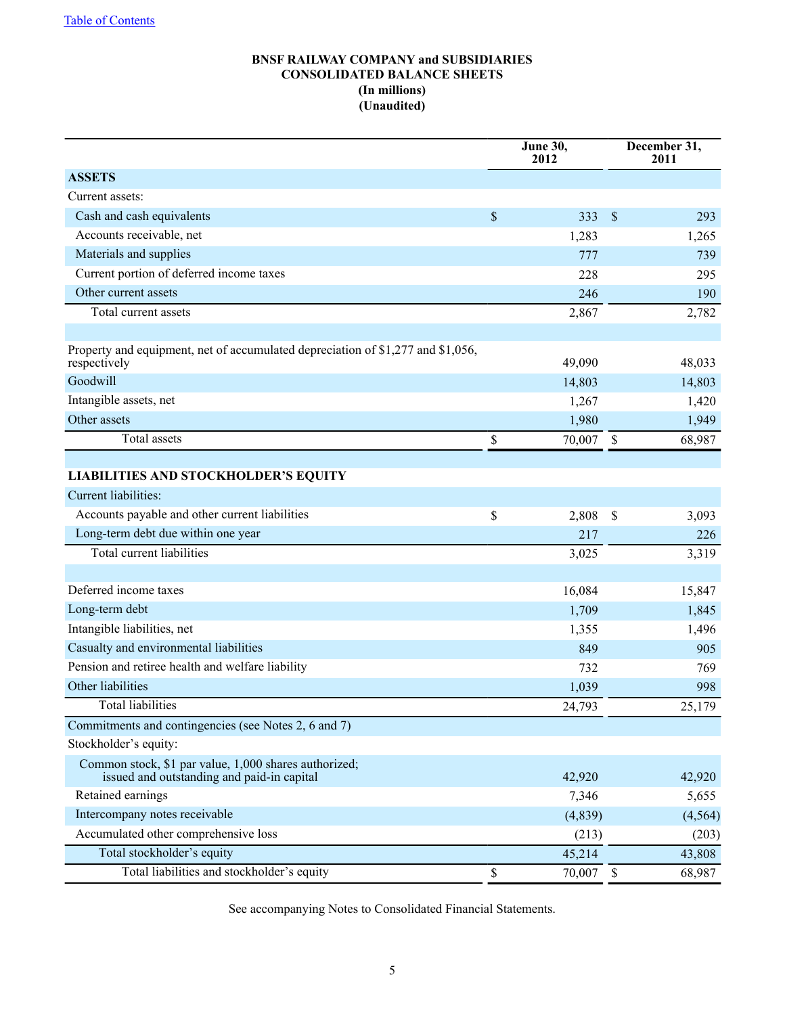# **BNSF RAILWAY COMPANY and SUBSIDIARIES CONSOLIDATED BALANCE SHEETS (In millions) (Unaudited)**

|                                                                                                     | June 30,<br>2012 |         |                           | December 31,<br>2011 |
|-----------------------------------------------------------------------------------------------------|------------------|---------|---------------------------|----------------------|
| <b>ASSETS</b>                                                                                       |                  |         |                           |                      |
| Current assets:                                                                                     |                  |         |                           |                      |
| Cash and cash equivalents                                                                           | \$               | 333     | $\mathcal{S}$             | 293                  |
| Accounts receivable, net                                                                            |                  | 1,283   |                           | 1,265                |
| Materials and supplies                                                                              |                  | 777     |                           | 739                  |
| Current portion of deferred income taxes                                                            |                  | 228     |                           | 295                  |
| Other current assets                                                                                |                  | 246     |                           | 190                  |
| Total current assets                                                                                |                  | 2,867   |                           | 2,782                |
|                                                                                                     |                  |         |                           |                      |
| Property and equipment, net of accumulated depreciation of \$1,277 and \$1,056,<br>respectively     |                  | 49,090  |                           | 48,033               |
| Goodwill                                                                                            |                  | 14,803  |                           | 14,803               |
| Intangible assets, net                                                                              |                  | 1,267   |                           | 1,420                |
| Other assets                                                                                        |                  | 1,980   |                           | 1,949                |
| Total assets                                                                                        | \$               | 70,007  | \$                        | 68,987               |
|                                                                                                     |                  |         |                           |                      |
| <b>LIABILITIES AND STOCKHOLDER'S EQUITY</b>                                                         |                  |         |                           |                      |
| Current liabilities:                                                                                |                  |         |                           |                      |
| Accounts payable and other current liabilities                                                      | \$               | 2,808   | $\mathcal{S}$             | 3,093                |
| Long-term debt due within one year                                                                  |                  | 217     |                           | 226                  |
| <b>Total current liabilities</b>                                                                    |                  | 3,025   |                           | 3,319                |
|                                                                                                     |                  |         |                           |                      |
| Deferred income taxes                                                                               |                  | 16,084  |                           | 15,847               |
| Long-term debt                                                                                      |                  | 1,709   |                           | 1,845                |
| Intangible liabilities, net                                                                         |                  | 1,355   |                           | 1,496                |
| Casualty and environmental liabilities                                                              |                  | 849     |                           | 905                  |
| Pension and retiree health and welfare liability                                                    |                  | 732     |                           | 769                  |
| Other liabilities                                                                                   |                  | 1,039   |                           | 998                  |
| Total liabilities                                                                                   |                  | 24,793  |                           | 25,179               |
| Commitments and contingencies (see Notes 2, 6 and 7)                                                |                  |         |                           |                      |
| Stockholder's equity:                                                                               |                  |         |                           |                      |
| Common stock, \$1 par value, 1,000 shares authorized;<br>issued and outstanding and paid-in capital |                  | 42,920  |                           | 42,920               |
| Retained earnings                                                                                   |                  | 7,346   |                           | 5,655                |
| Intercompany notes receivable                                                                       |                  | (4,839) |                           | (4, 564)             |
| Accumulated other comprehensive loss                                                                |                  | (213)   |                           | (203)                |
| Total stockholder's equity                                                                          |                  | 45,214  |                           | 43,808               |
| Total liabilities and stockholder's equity                                                          | \$               | 70,007  | $\boldsymbol{\mathsf{S}}$ | 68,987               |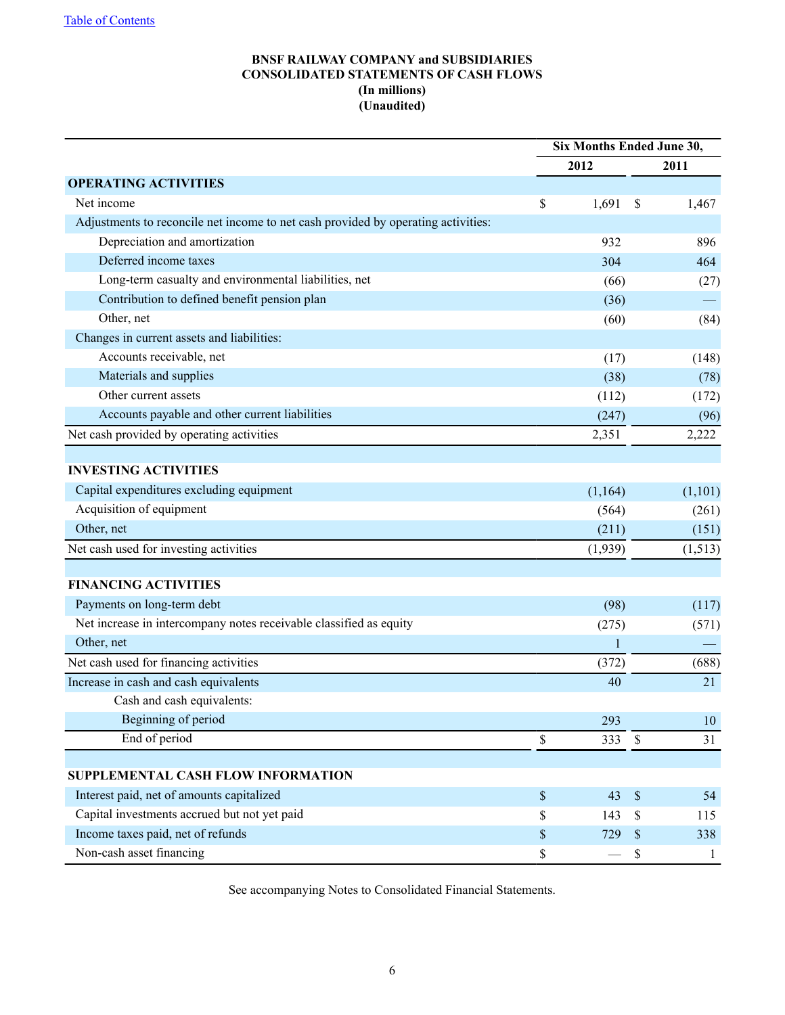# **BNSF RAILWAY COMPANY and SUBSIDIARIES CONSOLIDATED STATEMENTS OF CASH FLOWS (In millions) (Unaudited)**

|                                                                                   | <b>Six Months Ended June 30,</b> |              |                           |              |
|-----------------------------------------------------------------------------------|----------------------------------|--------------|---------------------------|--------------|
|                                                                                   |                                  | 2012         |                           | 2011         |
| <b>OPERATING ACTIVITIES</b>                                                       |                                  |              |                           |              |
| Net income                                                                        | \$                               | 1,691        | \$                        | 1,467        |
| Adjustments to reconcile net income to net cash provided by operating activities: |                                  |              |                           |              |
| Depreciation and amortization                                                     |                                  | 932          |                           | 896          |
| Deferred income taxes                                                             |                                  | 304          |                           | 464          |
| Long-term casualty and environmental liabilities, net                             |                                  | (66)         |                           | (27)         |
| Contribution to defined benefit pension plan                                      |                                  | (36)         |                           |              |
| Other, net                                                                        |                                  | (60)         |                           | (84)         |
| Changes in current assets and liabilities:                                        |                                  |              |                           |              |
| Accounts receivable, net                                                          |                                  | (17)         |                           | (148)        |
| Materials and supplies                                                            |                                  | (38)         |                           | (78)         |
| Other current assets                                                              |                                  | (112)        |                           | (172)        |
| Accounts payable and other current liabilities                                    |                                  | (247)        |                           | (96)         |
| Net cash provided by operating activities                                         |                                  | 2,351        |                           | 2,222        |
|                                                                                   |                                  |              |                           |              |
| <b>INVESTING ACTIVITIES</b>                                                       |                                  |              |                           |              |
| Capital expenditures excluding equipment                                          |                                  | (1,164)      |                           | (1,101)      |
| Acquisition of equipment                                                          |                                  | (564)        |                           | (261)        |
| Other, net                                                                        |                                  | (211)        |                           | (151)        |
| Net cash used for investing activities                                            |                                  | (1,939)      |                           | (1, 513)     |
|                                                                                   |                                  |              |                           |              |
| <b>FINANCING ACTIVITIES</b>                                                       |                                  |              |                           |              |
| Payments on long-term debt                                                        |                                  | (98)         |                           | (117)        |
| Net increase in intercompany notes receivable classified as equity                |                                  | (275)        |                           | (571)        |
| Other, net                                                                        |                                  | $\mathbf{1}$ |                           |              |
| Net cash used for financing activities                                            |                                  | (372)        |                           | (688)        |
| Increase in cash and cash equivalents                                             |                                  | 40           |                           | 21           |
| Cash and cash equivalents:                                                        |                                  |              |                           |              |
| Beginning of period                                                               |                                  | 293          |                           | 10           |
| End of period                                                                     | \$                               | 333          | \$                        | 31           |
|                                                                                   |                                  |              |                           |              |
| SUPPLEMENTAL CASH FLOW INFORMATION                                                |                                  |              |                           |              |
| Interest paid, net of amounts capitalized                                         | \$                               | 43           | $\mathbb{S}$              | 54           |
| Capital investments accrued but not yet paid                                      | \$                               | 143          | \$                        | 115          |
| Income taxes paid, net of refunds                                                 | \$                               | 729          | $\boldsymbol{\mathsf{S}}$ | 338          |
| Non-cash asset financing                                                          | \$                               |              | $\mathbb S$               | $\mathbf{1}$ |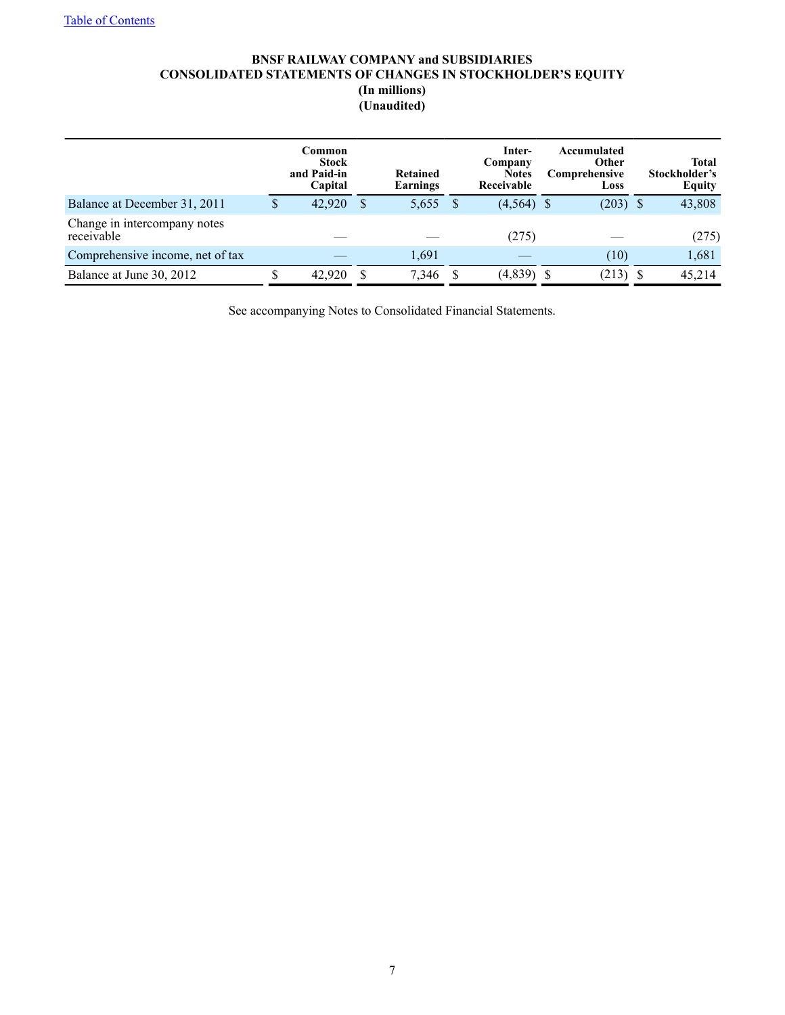# **BNSF RAILWAY COMPANY and SUBSIDIARIES CONSOLIDATED STATEMENTS OF CHANGES IN STOCKHOLDER'S EQUITY (In millions) (Unaudited)**

|                                            | Common<br><b>Stock</b><br>and Paid-in<br>Capital |   | <b>Retained</b><br>Earnings | Inter-<br>Company<br><b>Notes</b><br>Receivable | Accumulated<br><b>Other</b><br>Comprehensive<br>Loss |      | <b>Total</b><br>Stockholder's<br><b>Equity</b> |
|--------------------------------------------|--------------------------------------------------|---|-----------------------------|-------------------------------------------------|------------------------------------------------------|------|------------------------------------------------|
| Balance at December 31, 2011               | 42,920                                           | S | 5,655                       | $(4,564)$ \$                                    | (203)                                                | - \$ | 43,808                                         |
| Change in intercompany notes<br>receivable |                                                  |   |                             | (275)                                           |                                                      |      | (275)                                          |
| Comprehensive income, net of tax           |                                                  |   | 1,691                       |                                                 | (10)                                                 |      | 1,681                                          |
| Balance at June 30, 2012                   | 42.920                                           |   | 7,346                       | (4,839)                                         | (213)                                                | -S   | 45,214                                         |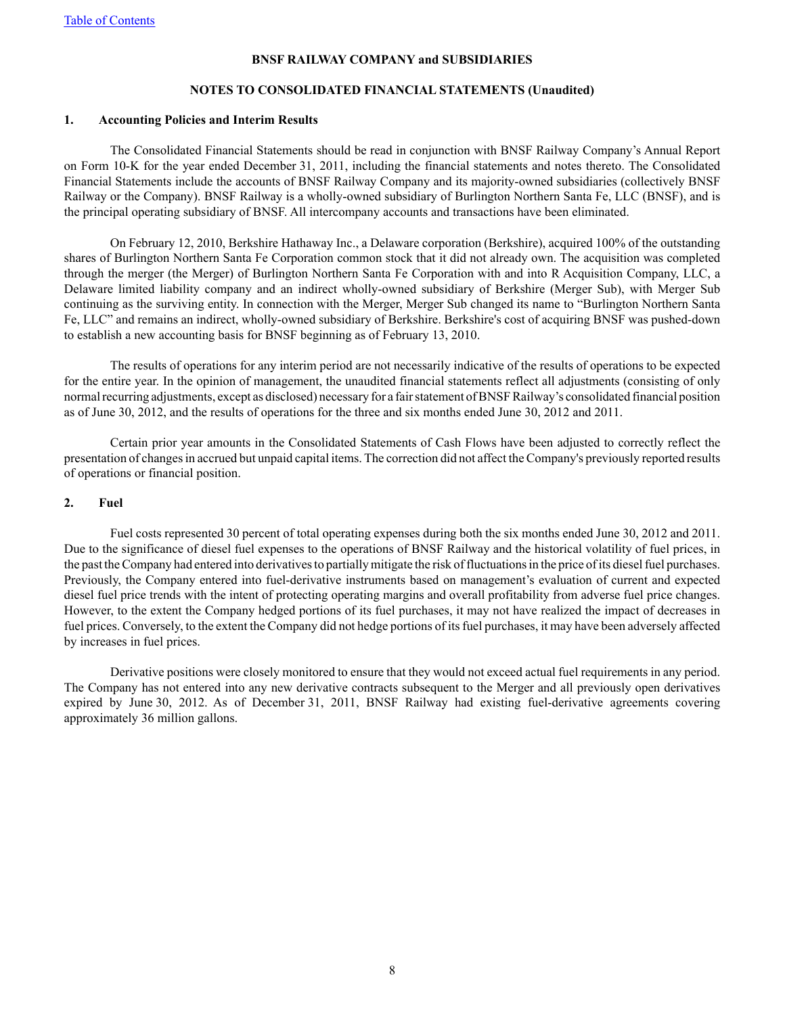#### **NOTES TO CONSOLIDATED FINANCIAL STATEMENTS (Unaudited)**

#### **1. Accounting Policies and Interim Results**

The Consolidated Financial Statements should be read in conjunction with BNSF Railway Company's Annual Report on Form 10-K for the year ended December 31, 2011, including the financial statements and notes thereto. The Consolidated Financial Statements include the accounts of BNSF Railway Company and its majority-owned subsidiaries (collectively BNSF Railway or the Company). BNSF Railway is a wholly-owned subsidiary of Burlington Northern Santa Fe, LLC (BNSF), and is the principal operating subsidiary of BNSF. All intercompany accounts and transactions have been eliminated.

On February 12, 2010, Berkshire Hathaway Inc., a Delaware corporation (Berkshire), acquired 100% of the outstanding shares of Burlington Northern Santa Fe Corporation common stock that it did not already own. The acquisition was completed through the merger (the Merger) of Burlington Northern Santa Fe Corporation with and into R Acquisition Company, LLC, a Delaware limited liability company and an indirect wholly-owned subsidiary of Berkshire (Merger Sub), with Merger Sub continuing as the surviving entity. In connection with the Merger, Merger Sub changed its name to "Burlington Northern Santa Fe, LLC" and remains an indirect, wholly-owned subsidiary of Berkshire. Berkshire's cost of acquiring BNSF was pushed-down to establish a new accounting basis for BNSF beginning as of February 13, 2010.

The results of operations for any interim period are not necessarily indicative of the results of operations to be expected for the entire year. In the opinion of management, the unaudited financial statements reflect all adjustments (consisting of only normal recurring adjustments, except as disclosed) necessary for a fair statement of BNSF Railway's consolidated financial position as of June 30, 2012, and the results of operations for the three and six months ended June 30, 2012 and 2011.

Certain prior year amounts in the Consolidated Statements of Cash Flows have been adjusted to correctly reflect the presentation of changes in accrued but unpaid capital items. The correction did not affect the Company's previously reported results of operations or financial position.

#### **2. Fuel**

Fuel costs represented 30 percent of total operating expenses during both the six months ended June 30, 2012 and 2011. Due to the significance of diesel fuel expenses to the operations of BNSF Railway and the historical volatility of fuel prices, in the past the Company had entered into derivatives to partially mitigate the risk of fluctuations in the price of its diesel fuel purchases. Previously, the Company entered into fuel-derivative instruments based on management's evaluation of current and expected diesel fuel price trends with the intent of protecting operating margins and overall profitability from adverse fuel price changes. However, to the extent the Company hedged portions of its fuel purchases, it may not have realized the impact of decreases in fuel prices. Conversely, to the extent the Company did not hedge portions of its fuel purchases, it may have been adversely affected by increases in fuel prices.

Derivative positions were closely monitored to ensure that they would not exceed actual fuel requirements in any period. The Company has not entered into any new derivative contracts subsequent to the Merger and all previously open derivatives expired by June 30, 2012. As of December 31, 2011, BNSF Railway had existing fuel-derivative agreements covering approximately 36 million gallons.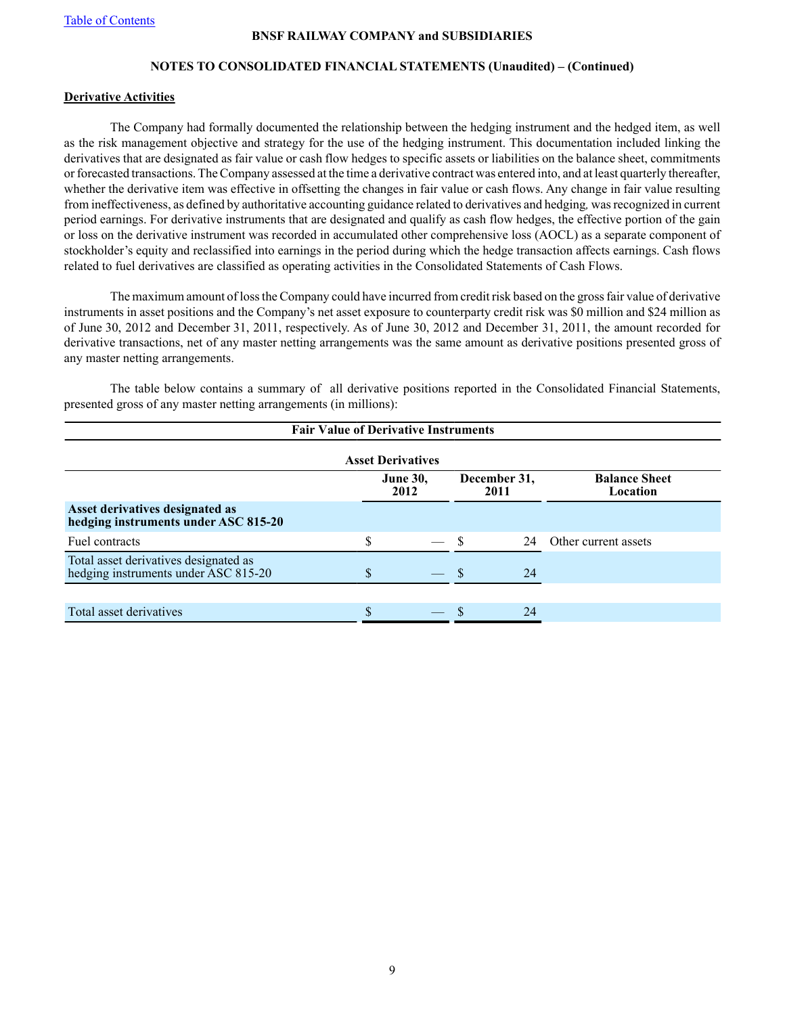# **NOTES TO CONSOLIDATED FINANCIAL STATEMENTS (Unaudited) – (Continued)**

### **Derivative Activities**

The Company had formally documented the relationship between the hedging instrument and the hedged item, as well as the risk management objective and strategy for the use of the hedging instrument. This documentation included linking the derivatives that are designated as fair value or cash flow hedges to specific assets or liabilities on the balance sheet, commitments or forecasted transactions. The Company assessed at the time a derivative contract was entered into, and at least quarterly thereafter, whether the derivative item was effective in offsetting the changes in fair value or cash flows. Any change in fair value resulting from ineffectiveness, as defined by authoritative accounting guidance related to derivatives and hedging*,* was recognized in current period earnings. For derivative instruments that are designated and qualify as cash flow hedges, the effective portion of the gain or loss on the derivative instrument was recorded in accumulated other comprehensive loss (AOCL) as a separate component of stockholder's equity and reclassified into earnings in the period during which the hedge transaction affects earnings. Cash flows related to fuel derivatives are classified as operating activities in the Consolidated Statements of Cash Flows.

The maximum amount of loss the Company could have incurred from credit risk based on the gross fair value of derivative instruments in asset positions and the Company's net asset exposure to counterparty credit risk was \$0 million and \$24 million as of June 30, 2012 and December 31, 2011, respectively. As of June 30, 2012 and December 31, 2011, the amount recorded for derivative transactions, net of any master netting arrangements was the same amount as derivative positions presented gross of any master netting arrangements.

The table below contains a summary of all derivative positions reported in the Consolidated Financial Statements, presented gross of any master netting arrangements (in millions):

| <b>Fair Value of Derivative Instruments</b>                                   |    |                         |  |                      |                                  |  |  |  |  |  |  |
|-------------------------------------------------------------------------------|----|-------------------------|--|----------------------|----------------------------------|--|--|--|--|--|--|
| <b>Asset Derivatives</b>                                                      |    |                         |  |                      |                                  |  |  |  |  |  |  |
|                                                                               |    | <b>June 30,</b><br>2012 |  | December 31,<br>2011 | <b>Balance Sheet</b><br>Location |  |  |  |  |  |  |
| Asset derivatives designated as<br>hedging instruments under ASC 815-20       |    |                         |  |                      |                                  |  |  |  |  |  |  |
| Fuel contracts                                                                | \$ |                         |  | 24                   | Other current assets             |  |  |  |  |  |  |
| Total asset derivatives designated as<br>hedging instruments under ASC 815-20 | S  |                         |  | 24                   |                                  |  |  |  |  |  |  |
|                                                                               |    |                         |  |                      |                                  |  |  |  |  |  |  |
| Total asset derivatives                                                       |    |                         |  | 24                   |                                  |  |  |  |  |  |  |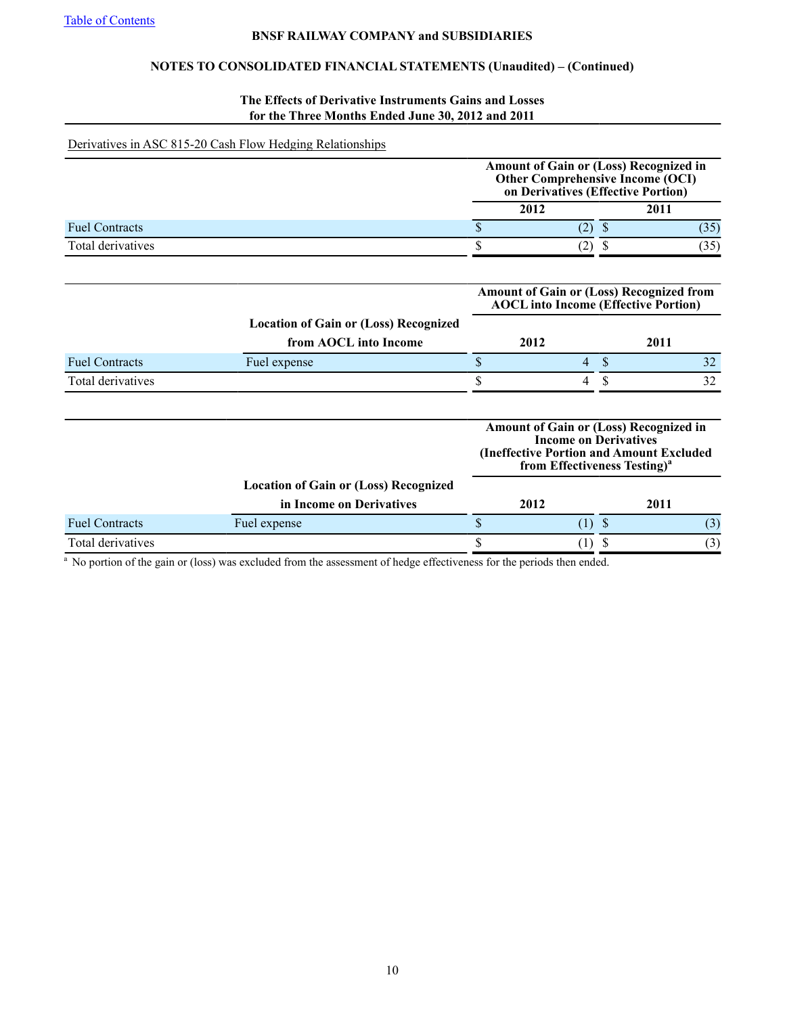# **NOTES TO CONSOLIDATED FINANCIAL STATEMENTS (Unaudited) – (Continued)**

# **The Effects of Derivative Instruments Gains and Losses for the Three Months Ended June 30, 2012 and 2011**

# Derivatives in ASC 815-20 Cash Flow Hedging Relationships

| Other Comprehensive Income (OCI)<br>on Derivatives (Effective Portion) |
|------------------------------------------------------------------------|
| 2011                                                                   |
|                                                                        |
|                                                                        |
| 2012                                                                   |

|                       |                                              | <b>Amount of Gain or (Loss) Recognized from</b><br><b>AOCL</b> into Income (Effective Portion) |   |      |    |  |
|-----------------------|----------------------------------------------|------------------------------------------------------------------------------------------------|---|------|----|--|
|                       | <b>Location of Gain or (Loss) Recognized</b> |                                                                                                |   |      |    |  |
|                       | from AOCL into Income                        |                                                                                                |   | 2011 |    |  |
| <b>Fuel Contracts</b> | Fuel expense                                 |                                                                                                | 4 |      |    |  |
| Total derivatives     |                                              |                                                                                                | 4 |      | 32 |  |
|                       |                                              |                                                                                                |   |      |    |  |

|                       |                                              | <b>Income on Derivatives</b><br>from Effectiveness Testing) <sup>a</sup> | <b>Amount of Gain or (Loss) Recognized in</b><br>(Ineffective Portion and Amount Excluded |      |
|-----------------------|----------------------------------------------|--------------------------------------------------------------------------|-------------------------------------------------------------------------------------------|------|
|                       | <b>Location of Gain or (Loss) Recognized</b> |                                                                          |                                                                                           |      |
|                       | in Income on Derivatives                     | 2012                                                                     |                                                                                           | 2011 |
| <b>Fuel Contracts</b> | Fuel expense                                 |                                                                          |                                                                                           | (3)  |
| Total derivatives     |                                              |                                                                          |                                                                                           | (3)  |

<sup>a</sup> No portion of the gain or (loss) was excluded from the assessment of hedge effectiveness for the periods then ended.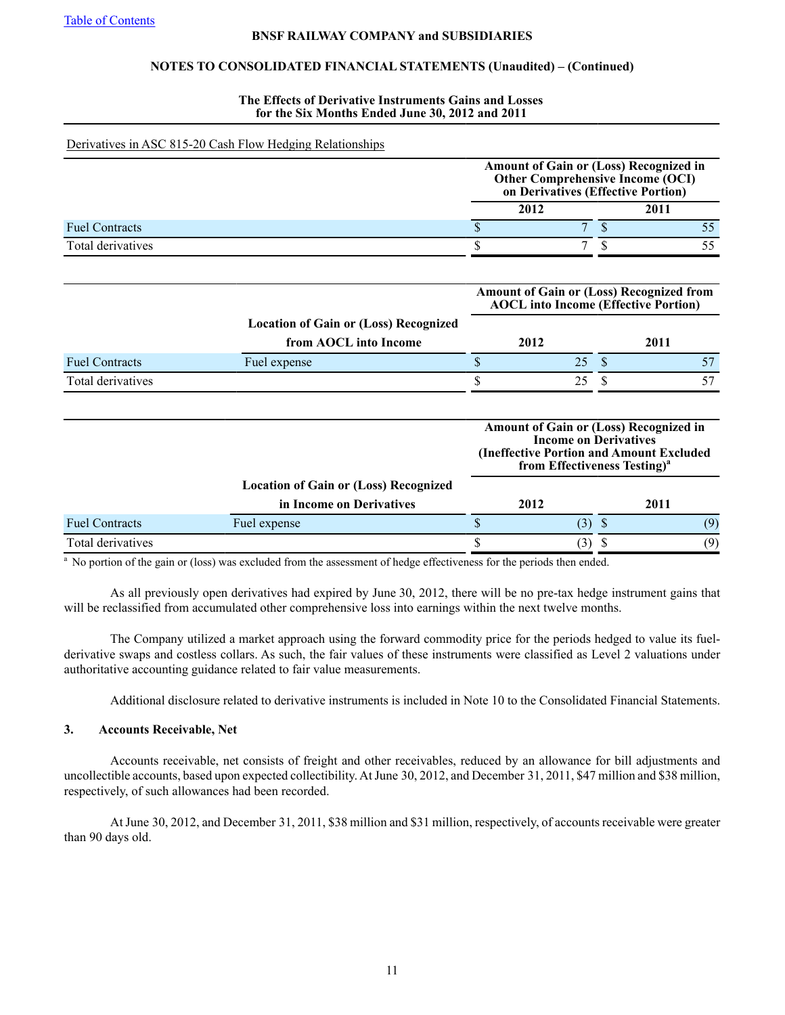# **NOTES TO CONSOLIDATED FINANCIAL STATEMENTS (Unaudited) – (Continued)**

#### **The Effects of Derivative Instruments Gains and Losses for the Six Months Ended June 30, 2012 and 2011**

### Derivatives in ASC 815-20 Cash Flow Hedging Relationships

|                       |      | Amount of Gain or (Loss) Recognized in<br><b>Other Comprehensive Income (OCI)</b><br>on Derivatives (Effective Portion) |  |      |  |  |
|-----------------------|------|-------------------------------------------------------------------------------------------------------------------------|--|------|--|--|
|                       | 2012 |                                                                                                                         |  | 2011 |  |  |
| <b>Fuel Contracts</b> |      |                                                                                                                         |  |      |  |  |
| Total derivatives     |      |                                                                                                                         |  |      |  |  |

|                       |                                              | <b>Amount of Gain or (Loss) Recognized from</b><br><b>AOCL</b> into Income (Effective Portion) |    |      |  |  |
|-----------------------|----------------------------------------------|------------------------------------------------------------------------------------------------|----|------|--|--|
|                       | <b>Location of Gain or (Loss) Recognized</b> |                                                                                                |    |      |  |  |
|                       | from AOCL into Income                        | 2012                                                                                           |    | 2011 |  |  |
| <b>Fuel Contracts</b> | Fuel expense                                 |                                                                                                | 25 |      |  |  |
| Total derivatives     |                                              |                                                                                                |    |      |  |  |

|                       |                                              | Amount of Gain or (Loss) Recognized in<br>(Ineffective Portion and Amount Excluded | <b>Income on Derivatives</b> | from Effectiveness Testing) <sup>a</sup> |     |
|-----------------------|----------------------------------------------|------------------------------------------------------------------------------------|------------------------------|------------------------------------------|-----|
|                       | <b>Location of Gain or (Loss) Recognized</b> |                                                                                    |                              |                                          |     |
|                       | in Income on Derivatives                     | 2012                                                                               |                              | 2011                                     |     |
| <b>Fuel Contracts</b> | Fuel expense                                 |                                                                                    | (3)                          |                                          | (9) |
| Total derivatives     |                                              |                                                                                    | 3)                           |                                          | (9) |

 $^{\circ}$  No portion of the gain or (loss) was excluded from the assessment of hedge effectiveness for the periods then ended.

As all previously open derivatives had expired by June 30, 2012, there will be no pre-tax hedge instrument gains that will be reclassified from accumulated other comprehensive loss into earnings within the next twelve months.

The Company utilized a market approach using the forward commodity price for the periods hedged to value its fuelderivative swaps and costless collars. As such, the fair values of these instruments were classified as Level 2 valuations under authoritative accounting guidance related to fair value measurements.

Additional disclosure related to derivative instruments is included in Note 10 to the Consolidated Financial Statements.

# **3. Accounts Receivable, Net**

Accounts receivable, net consists of freight and other receivables, reduced by an allowance for bill adjustments and uncollectible accounts, based upon expected collectibility. At June 30, 2012, and December 31, 2011, \$47 million and \$38 million, respectively, of such allowances had been recorded.

At June 30, 2012, and December 31, 2011, \$38 million and \$31 million, respectively, of accounts receivable were greater than 90 days old.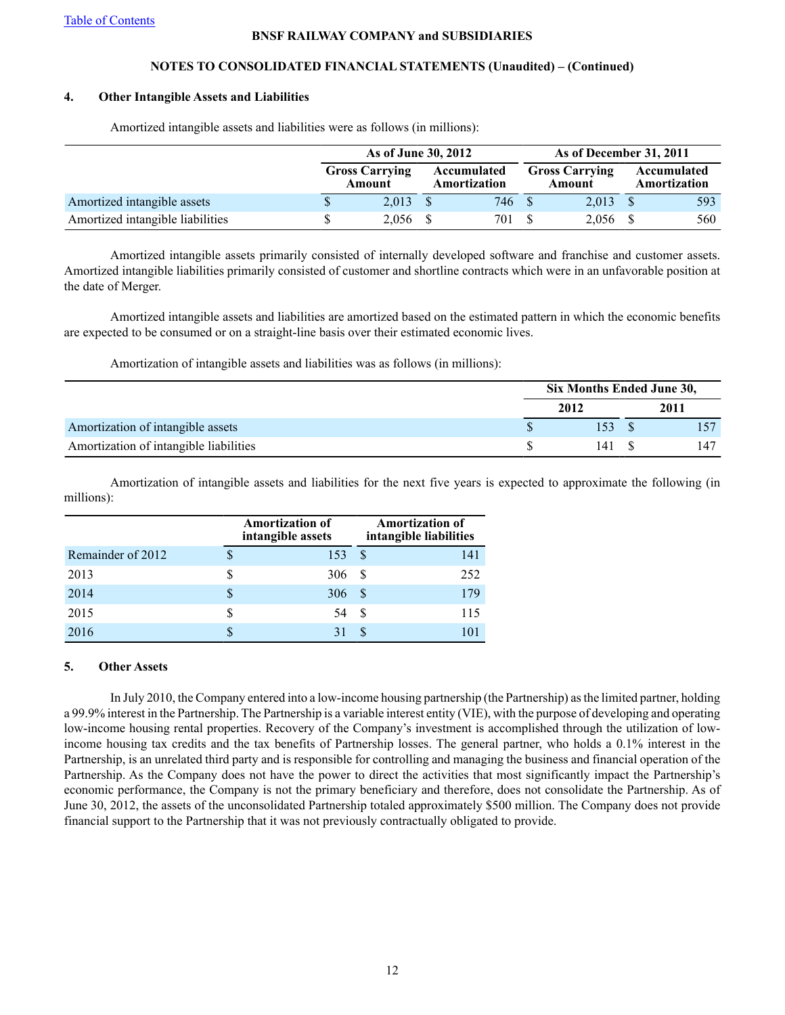# **NOTES TO CONSOLIDATED FINANCIAL STATEMENTS (Unaudited) – (Continued)**

# **4. Other Intangible Assets and Liabilities**

|                                  | As of June 30, 2012             |  |                             |  | As of December 31, 2011         |  |                             |  |
|----------------------------------|---------------------------------|--|-----------------------------|--|---------------------------------|--|-----------------------------|--|
|                                  | <b>Gross Carrying</b><br>Amount |  | Accumulated<br>Amortization |  | <b>Gross Carrying</b><br>Amount |  | Accumulated<br>Amortization |  |
| Amortized intangible assets      | $2.013 \quad$ \$                |  | 746 \$                      |  | $2.013 \quad$ \$                |  | 593                         |  |
| Amortized intangible liabilities | $2,056$ \$                      |  | 701                         |  | 2,056 \$                        |  | 560                         |  |

Amortized intangible assets and liabilities were as follows (in millions):

Amortized intangible assets primarily consisted of internally developed software and franchise and customer assets. Amortized intangible liabilities primarily consisted of customer and shortline contracts which were in an unfavorable position at the date of Merger.

Amortized intangible assets and liabilities are amortized based on the estimated pattern in which the economic benefits are expected to be consumed or on a straight-line basis over their estimated economic lives.

Amortization of intangible assets and liabilities was as follows (in millions):

|                                        | Six Months Ended June 30, |  |      |  |  |
|----------------------------------------|---------------------------|--|------|--|--|
|                                        | 2012                      |  | 2011 |  |  |
| Amortization of intangible assets      |                           |  |      |  |  |
| Amortization of intangible liabilities |                           |  | 147  |  |  |

Amortization of intangible assets and liabilities for the next five years is expected to approximate the following (in millions):

|                   |    | <b>Amortization of</b><br>intangible assets |     | <b>Amortization of</b><br>intangible liabilities |
|-------------------|----|---------------------------------------------|-----|--------------------------------------------------|
| Remainder of 2012 | \$ | 153                                         | S   | 141                                              |
| 2013              |    | 306                                         | -8  | 252                                              |
| 2014              | S  | 306                                         | -S  | 179                                              |
| 2015              | S  | 54                                          | \$. | 115                                              |
| 2016              |    |                                             |     |                                                  |

# **5. Other Assets**

In July 2010, the Company entered into a low-income housing partnership (the Partnership) as the limited partner, holding a 99.9% interest in the Partnership. The Partnership is a variable interest entity (VIE), with the purpose of developing and operating low-income housing rental properties. Recovery of the Company's investment is accomplished through the utilization of lowincome housing tax credits and the tax benefits of Partnership losses. The general partner, who holds a 0.1% interest in the Partnership, is an unrelated third party and is responsible for controlling and managing the business and financial operation of the Partnership. As the Company does not have the power to direct the activities that most significantly impact the Partnership's economic performance, the Company is not the primary beneficiary and therefore, does not consolidate the Partnership. As of June 30, 2012, the assets of the unconsolidated Partnership totaled approximately \$500 million. The Company does not provide financial support to the Partnership that it was not previously contractually obligated to provide.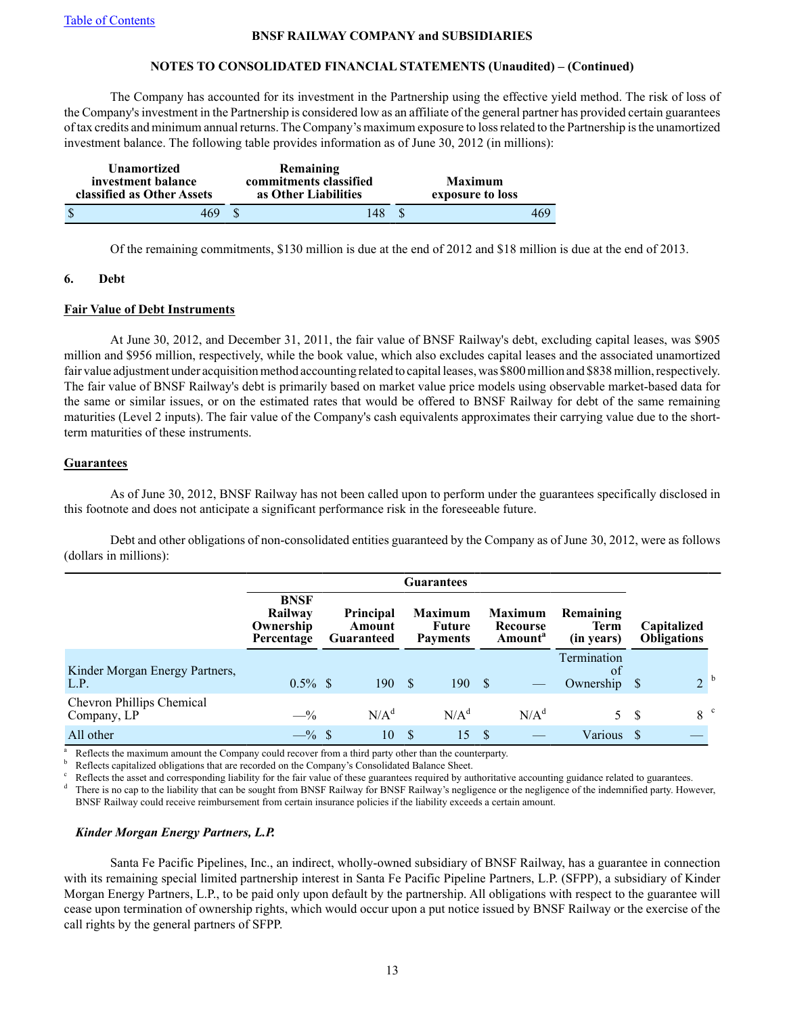# **NOTES TO CONSOLIDATED FINANCIAL STATEMENTS (Unaudited) – (Continued)**

The Company has accounted for its investment in the Partnership using the effective yield method. The risk of loss of the Company's investment in the Partnership is considered low as an affiliate of the general partner has provided certain guarantees of tax credits and minimum annual returns. The Company's maximum exposure to loss related to the Partnership is the unamortized investment balance. The following table provides information as of June 30, 2012 (in millions):

| <b>Unamortized</b><br>investment balance<br>classified as Other Assets |     | Remaining<br>commitments classified<br>as Other Liabilities | <b>Maximum</b><br>exposure to loss |     |
|------------------------------------------------------------------------|-----|-------------------------------------------------------------|------------------------------------|-----|
|                                                                        | 469 | 148                                                         |                                    | 469 |

Of the remaining commitments, \$130 million is due at the end of 2012 and \$18 million is due at the end of 2013.

### **6. Debt**

# **Fair Value of Debt Instruments**

At June 30, 2012, and December 31, 2011, the fair value of BNSF Railway's debt, excluding capital leases, was \$905 million and \$956 million, respectively, while the book value, which also excludes capital leases and the associated unamortized fair value adjustment under acquisition method accounting related to capital leases, was \$800 million and \$838 million, respectively. The fair value of BNSF Railway's debt is primarily based on market value price models using observable market-based data for the same or similar issues, or on the estimated rates that would be offered to BNSF Railway for debt of the same remaining maturities (Level 2 inputs). The fair value of the Company's cash equivalents approximates their carrying value due to the shortterm maturities of these instruments.

# **Guarantees**

As of June 30, 2012, BNSF Railway has not been called upon to perform under the guarantees specifically disclosed in this footnote and does not anticipate a significant performance risk in the foreseeable future.

Debt and other obligations of non-consolidated entities guaranteed by the Company as of June 30, 2012, were as follows (dollars in millions):

|                                          |                                                   | <b>Guarantees</b> |                                          |    |                                             |          |                                                   |                                           |    |                                   |
|------------------------------------------|---------------------------------------------------|-------------------|------------------------------------------|----|---------------------------------------------|----------|---------------------------------------------------|-------------------------------------------|----|-----------------------------------|
|                                          | <b>BNSF</b><br>Railway<br>Ownership<br>Percentage |                   | <b>Principal</b><br>Amount<br>Guaranteed |    | <b>Maximum</b><br>Future<br><b>Payments</b> |          | <b>Maximum</b><br>Recourse<br>Amount <sup>"</sup> | Remaining<br><b>Term</b><br>(in years)    |    | Capitalized<br><b>Obligations</b> |
| Kinder Morgan Energy Partners,<br>L.P.   | $0.5\%$ \$                                        |                   | 190                                      | -S | 190S                                        |          |                                                   | Termination<br><sub>ot</sub><br>Ownership |    | 2 <sup>b</sup>                    |
| Chevron Phillips Chemical<br>Company, LP | $-$ %                                             |                   | $N/A^d$                                  |    | $N/A^d$                                     |          | $N/A^d$                                           | 5.                                        | -S | 8 <sup>c</sup>                    |
| All other                                | $-$ % \$                                          |                   | 10                                       | -S | 15                                          | <b>S</b> |                                                   | Various                                   |    |                                   |

Reflects the maximum amount the Company could recover from a third party other than the counterparty.

Reflects capitalized obligations that are recorded on the Company's Consolidated Balance Sheet.

Reflects the asset and corresponding liability for the fair value of these guarantees required by authoritative accounting guidance related to guarantees.

There is no cap to the liability that can be sought from BNSF Railway of BNSF Railway's negligence or the negligence of the indemnified party. However, BNSF Railway could receive reimbursement from certain insurance policies if the liability exceeds a certain amount.

# *Kinder Morgan Energy Partners, L.P.*

Santa Fe Pacific Pipelines, Inc., an indirect, wholly-owned subsidiary of BNSF Railway, has a guarantee in connection with its remaining special limited partnership interest in Santa Fe Pacific Pipeline Partners, L.P. (SFPP), a subsidiary of Kinder Morgan Energy Partners, L.P., to be paid only upon default by the partnership. All obligations with respect to the guarantee will cease upon termination of ownership rights, which would occur upon a put notice issued by BNSF Railway or the exercise of the call rights by the general partners of SFPP.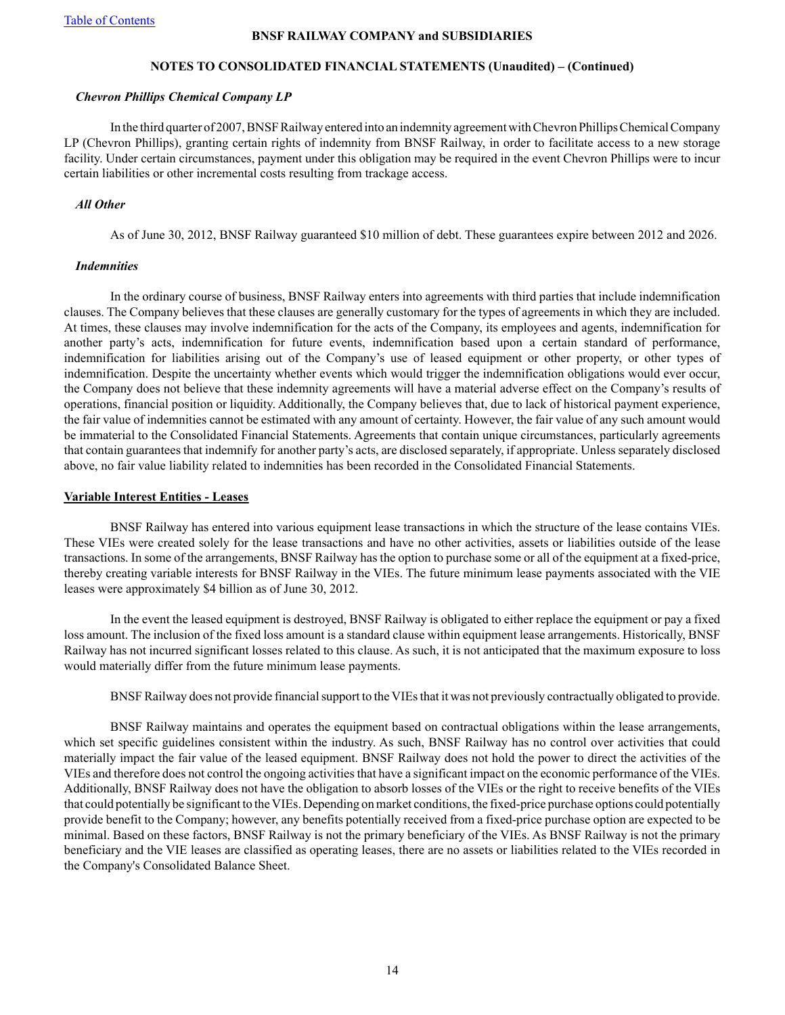### **NOTES TO CONSOLIDATED FINANCIAL STATEMENTS (Unaudited) – (Continued)**

#### *Chevron Phillips Chemical Company LP*

In the third quarter of 2007, BNSF Railway entered into an indemnity agreement with Chevron Phillips Chemical Company LP (Chevron Phillips), granting certain rights of indemnity from BNSF Railway, in order to facilitate access to a new storage facility. Under certain circumstances, payment under this obligation may be required in the event Chevron Phillips were to incur certain liabilities or other incremental costs resulting from trackage access.

### *All Other*

As of June 30, 2012, BNSF Railway guaranteed \$10 million of debt. These guarantees expire between 2012 and 2026.

### *Indemnities*

In the ordinary course of business, BNSF Railway enters into agreements with third parties that include indemnification clauses. The Company believes that these clauses are generally customary for the types of agreements in which they are included. At times, these clauses may involve indemnification for the acts of the Company, its employees and agents, indemnification for another party's acts, indemnification for future events, indemnification based upon a certain standard of performance, indemnification for liabilities arising out of the Company's use of leased equipment or other property, or other types of indemnification. Despite the uncertainty whether events which would trigger the indemnification obligations would ever occur, the Company does not believe that these indemnity agreements will have a material adverse effect on the Company's results of operations, financial position or liquidity. Additionally, the Company believes that, due to lack of historical payment experience, the fair value of indemnities cannot be estimated with any amount of certainty. However, the fair value of any such amount would be immaterial to the Consolidated Financial Statements. Agreements that contain unique circumstances, particularly agreements that contain guarantees that indemnify for another party's acts, are disclosed separately, if appropriate. Unless separately disclosed above, no fair value liability related to indemnities has been recorded in the Consolidated Financial Statements.

### **Variable Interest Entities - Leases**

BNSF Railway has entered into various equipment lease transactions in which the structure of the lease contains VIEs. These VIEs were created solely for the lease transactions and have no other activities, assets or liabilities outside of the lease transactions. In some of the arrangements, BNSF Railway has the option to purchase some or all of the equipment at a fixed-price, thereby creating variable interests for BNSF Railway in the VIEs. The future minimum lease payments associated with the VIE leases were approximately \$4 billion as of June 30, 2012.

In the event the leased equipment is destroyed, BNSF Railway is obligated to either replace the equipment or pay a fixed loss amount. The inclusion of the fixed loss amount is a standard clause within equipment lease arrangements. Historically, BNSF Railway has not incurred significant losses related to this clause. As such, it is not anticipated that the maximum exposure to loss would materially differ from the future minimum lease payments.

BNSF Railway does not provide financial support to the VIEs that it was not previously contractually obligated to provide.

BNSF Railway maintains and operates the equipment based on contractual obligations within the lease arrangements, which set specific guidelines consistent within the industry. As such, BNSF Railway has no control over activities that could materially impact the fair value of the leased equipment. BNSF Railway does not hold the power to direct the activities of the VIEs and therefore does not control the ongoing activities that have a significant impact on the economic performance of the VIEs. Additionally, BNSF Railway does not have the obligation to absorb losses of the VIEs or the right to receive benefits of the VIEs that could potentially be significant to the VIEs. Depending on market conditions, the fixed-price purchase options could potentially provide benefit to the Company; however, any benefits potentially received from a fixed-price purchase option are expected to be minimal. Based on these factors, BNSF Railway is not the primary beneficiary of the VIEs. As BNSF Railway is not the primary beneficiary and the VIE leases are classified as operating leases, there are no assets or liabilities related to the VIEs recorded in the Company's Consolidated Balance Sheet.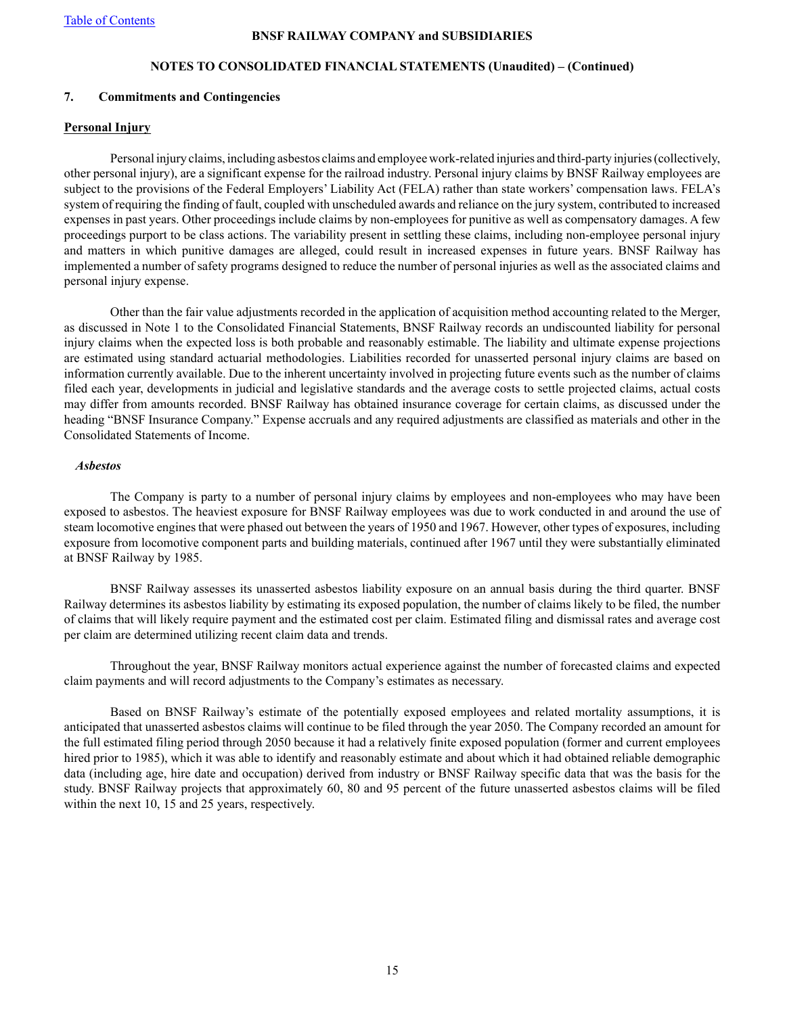# **NOTES TO CONSOLIDATED FINANCIAL STATEMENTS (Unaudited) – (Continued)**

### **7. Commitments and Contingencies**

#### **Personal Injury**

Personal injury claims, including asbestos claims and employee work-related injuries and third-party injuries (collectively, other personal injury), are a significant expense for the railroad industry. Personal injury claims by BNSF Railway employees are subject to the provisions of the Federal Employers' Liability Act (FELA) rather than state workers' compensation laws. FELA's system of requiring the finding of fault, coupled with unscheduled awards and reliance on the jury system, contributed to increased expenses in past years. Other proceedings include claims by non-employees for punitive as well as compensatory damages. A few proceedings purport to be class actions. The variability present in settling these claims, including non-employee personal injury and matters in which punitive damages are alleged, could result in increased expenses in future years. BNSF Railway has implemented a number of safety programs designed to reduce the number of personal injuries as well as the associated claims and personal injury expense.

Other than the fair value adjustments recorded in the application of acquisition method accounting related to the Merger, as discussed in Note 1 to the Consolidated Financial Statements, BNSF Railway records an undiscounted liability for personal injury claims when the expected loss is both probable and reasonably estimable. The liability and ultimate expense projections are estimated using standard actuarial methodologies. Liabilities recorded for unasserted personal injury claims are based on information currently available. Due to the inherent uncertainty involved in projecting future events such as the number of claims filed each year, developments in judicial and legislative standards and the average costs to settle projected claims, actual costs may differ from amounts recorded. BNSF Railway has obtained insurance coverage for certain claims, as discussed under the heading "BNSF Insurance Company." Expense accruals and any required adjustments are classified as materials and other in the Consolidated Statements of Income.

#### *Asbestos*

The Company is party to a number of personal injury claims by employees and non-employees who may have been exposed to asbestos. The heaviest exposure for BNSF Railway employees was due to work conducted in and around the use of steam locomotive engines that were phased out between the years of 1950 and 1967. However, other types of exposures, including exposure from locomotive component parts and building materials, continued after 1967 until they were substantially eliminated at BNSF Railway by 1985.

BNSF Railway assesses its unasserted asbestos liability exposure on an annual basis during the third quarter. BNSF Railway determines its asbestos liability by estimating its exposed population, the number of claims likely to be filed, the number of claims that will likely require payment and the estimated cost per claim. Estimated filing and dismissal rates and average cost per claim are determined utilizing recent claim data and trends.

Throughout the year, BNSF Railway monitors actual experience against the number of forecasted claims and expected claim payments and will record adjustments to the Company's estimates as necessary.

Based on BNSF Railway's estimate of the potentially exposed employees and related mortality assumptions, it is anticipated that unasserted asbestos claims will continue to be filed through the year 2050. The Company recorded an amount for the full estimated filing period through 2050 because it had a relatively finite exposed population (former and current employees hired prior to 1985), which it was able to identify and reasonably estimate and about which it had obtained reliable demographic data (including age, hire date and occupation) derived from industry or BNSF Railway specific data that was the basis for the study. BNSF Railway projects that approximately 60, 80 and 95 percent of the future unasserted asbestos claims will be filed within the next 10, 15 and 25 years, respectively.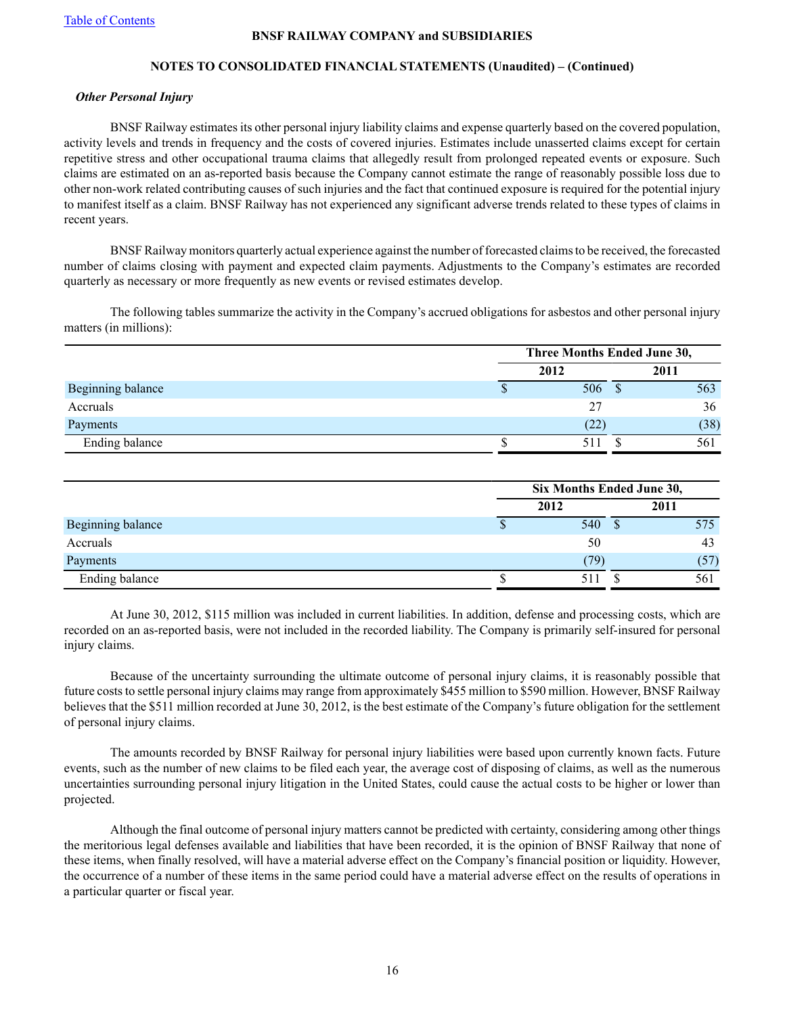# **NOTES TO CONSOLIDATED FINANCIAL STATEMENTS (Unaudited) – (Continued)**

#### *Other Personal Injury*

BNSF Railway estimates its other personal injury liability claims and expense quarterly based on the covered population, activity levels and trends in frequency and the costs of covered injuries. Estimates include unasserted claims except for certain repetitive stress and other occupational trauma claims that allegedly result from prolonged repeated events or exposure. Such claims are estimated on an as-reported basis because the Company cannot estimate the range of reasonably possible loss due to other non-work related contributing causes of such injuries and the fact that continued exposure is required for the potential injury to manifest itself as a claim. BNSF Railway has not experienced any significant adverse trends related to these types of claims in recent years.

BNSF Railway monitors quarterly actual experience against the number of forecasted claims to be received, the forecasted number of claims closing with payment and expected claim payments. Adjustments to the Company's estimates are recorded quarterly as necessary or more frequently as new events or revised estimates develop.

The following tables summarize the activity in the Company's accrued obligations for asbestos and other personal injury matters (in millions):

|                   | Three Months Ended June 30, |  |      |  |  |
|-------------------|-----------------------------|--|------|--|--|
|                   | 2012                        |  | 2011 |  |  |
| Beginning balance | 506                         |  | 563  |  |  |
| Accruals          | 27                          |  | 36   |  |  |
| Payments          | (22)                        |  | (38) |  |  |
| Ending balance    | 511                         |  | 561  |  |  |

|                   | Six Months Ended June 30, |      |  |      |      |  |
|-------------------|---------------------------|------|--|------|------|--|
|                   |                           | 2012 |  | 2011 |      |  |
| Beginning balance |                           | 540  |  |      | 575  |  |
| Accruals          |                           | 50   |  |      | 43   |  |
| Payments          |                           | (79) |  |      | (57) |  |
| Ending balance    |                           |      |  |      | 561  |  |

At June 30, 2012, \$115 million was included in current liabilities. In addition, defense and processing costs, which are recorded on an as-reported basis, were not included in the recorded liability. The Company is primarily self-insured for personal injury claims.

Because of the uncertainty surrounding the ultimate outcome of personal injury claims, it is reasonably possible that future costs to settle personal injury claims may range from approximately \$455 million to \$590 million. However, BNSF Railway believes that the \$511 million recorded at June 30, 2012, is the best estimate of the Company's future obligation for the settlement of personal injury claims.

The amounts recorded by BNSF Railway for personal injury liabilities were based upon currently known facts. Future events, such as the number of new claims to be filed each year, the average cost of disposing of claims, as well as the numerous uncertainties surrounding personal injury litigation in the United States, could cause the actual costs to be higher or lower than projected.

Although the final outcome of personal injury matters cannot be predicted with certainty, considering among other things the meritorious legal defenses available and liabilities that have been recorded, it is the opinion of BNSF Railway that none of these items, when finally resolved, will have a material adverse effect on the Company's financial position or liquidity. However, the occurrence of a number of these items in the same period could have a material adverse effect on the results of operations in a particular quarter or fiscal year.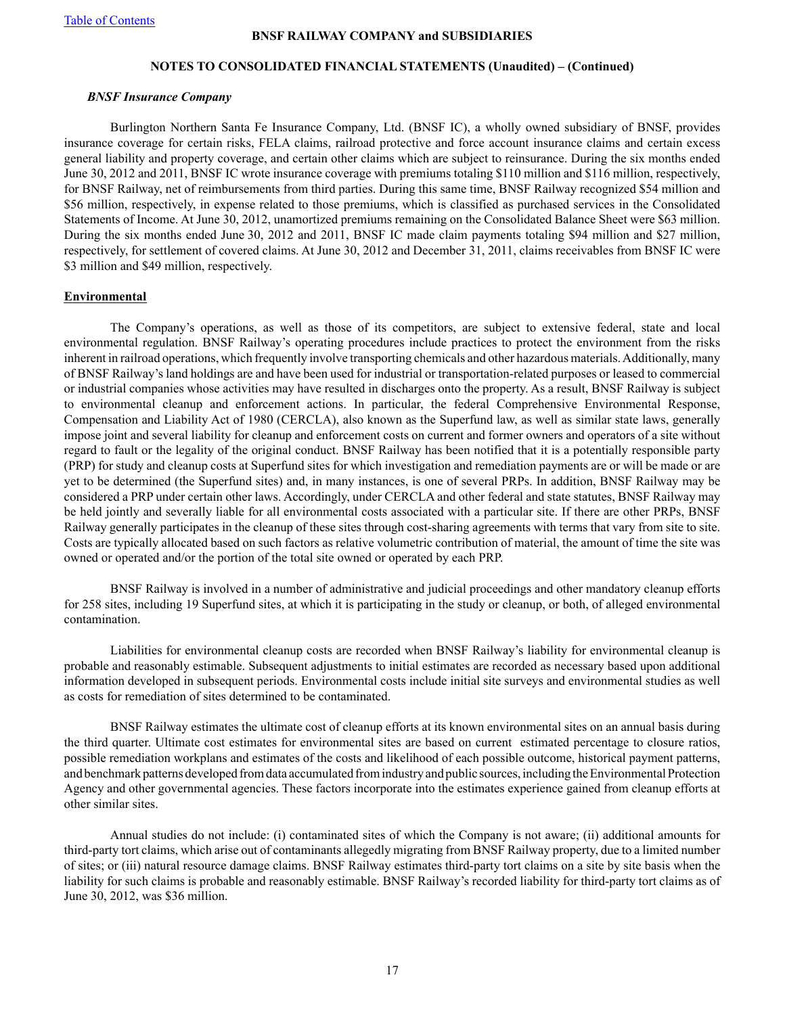### **NOTES TO CONSOLIDATED FINANCIAL STATEMENTS (Unaudited) – (Continued)**

#### *BNSF Insurance Company*

Burlington Northern Santa Fe Insurance Company, Ltd. (BNSF IC), a wholly owned subsidiary of BNSF, provides insurance coverage for certain risks, FELA claims, railroad protective and force account insurance claims and certain excess general liability and property coverage, and certain other claims which are subject to reinsurance. During the six months ended June 30, 2012 and 2011, BNSF IC wrote insurance coverage with premiums totaling \$110 million and \$116 million, respectively, for BNSF Railway, net of reimbursements from third parties. During this same time, BNSF Railway recognized \$54 million and \$56 million, respectively, in expense related to those premiums, which is classified as purchased services in the Consolidated Statements of Income. At June 30, 2012, unamortized premiums remaining on the Consolidated Balance Sheet were \$63 million. During the six months ended June 30, 2012 and 2011, BNSF IC made claim payments totaling \$94 million and \$27 million, respectively, for settlement of covered claims. At June 30, 2012 and December 31, 2011, claims receivables from BNSF IC were \$3 million and \$49 million, respectively.

### **Environmental**

The Company's operations, as well as those of its competitors, are subject to extensive federal, state and local environmental regulation. BNSF Railway's operating procedures include practices to protect the environment from the risks inherent in railroad operations, which frequently involve transporting chemicals and other hazardous materials. Additionally, many of BNSF Railway's land holdings are and have been used for industrial or transportation-related purposes or leased to commercial or industrial companies whose activities may have resulted in discharges onto the property. As a result, BNSF Railway is subject to environmental cleanup and enforcement actions. In particular, the federal Comprehensive Environmental Response, Compensation and Liability Act of 1980 (CERCLA), also known as the Superfund law, as well as similar state laws, generally impose joint and several liability for cleanup and enforcement costs on current and former owners and operators of a site without regard to fault or the legality of the original conduct. BNSF Railway has been notified that it is a potentially responsible party (PRP) for study and cleanup costs at Superfund sites for which investigation and remediation payments are or will be made or are yet to be determined (the Superfund sites) and, in many instances, is one of several PRPs. In addition, BNSF Railway may be considered a PRPunder certain other laws. Accordingly, under CERCLA and other federal and state statutes, BNSF Railway may be held jointly and severally liable for all environmental costs associated with a particular site. If there are other PRPs, BNSF Railway generally participates in the cleanup of these sites through cost-sharing agreements with terms that vary from site to site. Costs are typically allocated based on such factors as relative volumetric contribution of material, the amount of time the site was owned or operated and/or the portion of the total site owned or operated by each PRP.

BNSF Railway is involved in a number of administrative and judicial proceedings and other mandatory cleanup efforts for 258 sites, including 19 Superfund sites, at which it is participating in the study or cleanup, or both, of alleged environmental contamination.

Liabilities for environmental cleanup costs are recorded when BNSF Railway's liability for environmental cleanup is probable and reasonably estimable. Subsequent adjustments to initial estimates are recorded as necessary based upon additional information developed in subsequent periods. Environmental costs include initial site surveys and environmental studies as well as costs for remediation of sites determined to be contaminated.

BNSF Railway estimates the ultimate cost of cleanup efforts at its known environmental sites on an annual basis during the third quarter. Ultimate cost estimates for environmental sites are based on current estimated percentage to closure ratios, possible remediation workplans and estimates of the costs and likelihood of each possible outcome, historical payment patterns, and benchmark patterns developed from data accumulated from industry and public sources, including the Environmental Protection Agency and other governmental agencies. These factors incorporate into the estimates experience gained from cleanup efforts at other similar sites.

Annual studies do not include: (i) contaminated sites of which the Company is not aware; (ii) additional amounts for third-party tort claims, which arise out of contaminants allegedly migrating from BNSF Railway property, due to a limited number of sites; or (iii) natural resource damage claims. BNSF Railway estimates third-party tort claims on a site by site basis when the liability for such claims is probable and reasonably estimable. BNSF Railway's recorded liability for third-party tort claims as of June 30, 2012, was \$36 million.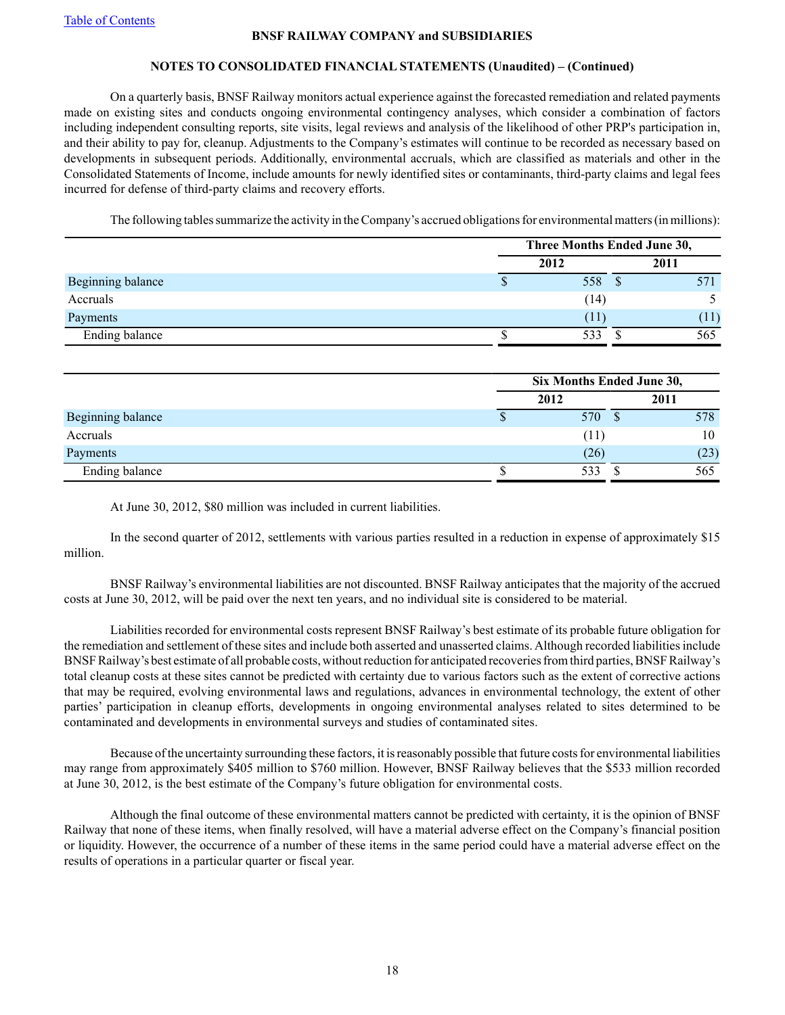# **NOTES TO CONSOLIDATED FINANCIAL STATEMENTS (Unaudited) – (Continued)**

On a quarterly basis, BNSF Railway monitors actual experience against the forecasted remediation and related payments made on existing sites and conducts ongoing environmental contingency analyses, which consider a combination of factors including independent consulting reports, site visits, legal reviews and analysis of the likelihood of other PRP's participation in, and their ability to pay for, cleanup. Adjustments to the Company's estimates will continue to be recorded as necessary based on developments in subsequent periods. Additionally, environmental accruals, which are classified as materials and other in the Consolidated Statements of Income, include amounts for newly identified sites or contaminants, third-party claims and legal fees incurred for defense of third-party claims and recovery efforts.

The following tables summarize the activity in the Company's accrued obligations for environmental matters (in millions):

|                   |      | Three Months Ended June 30, |      |  |  |  |
|-------------------|------|-----------------------------|------|--|--|--|
|                   | 2012 |                             | 2011 |  |  |  |
| Beginning balance |      | 558                         | 571  |  |  |  |
| Accruals          |      | (14)                        |      |  |  |  |
| Payments          |      | (11)                        | (11) |  |  |  |
| Ending balance    |      | 533                         | 565  |  |  |  |

|                   | Six Months Ended June 30, |  |      |  |  |
|-------------------|---------------------------|--|------|--|--|
|                   | 2012                      |  | 2011 |  |  |
| Beginning balance | 570                       |  | 578  |  |  |
| Accruals          | (11)                      |  | 10   |  |  |
| Payments          | (26)                      |  | (23) |  |  |
| Ending balance    | 533                       |  | 565  |  |  |

At June 30, 2012, \$80 million was included in current liabilities.

In the second quarter of 2012, settlements with various parties resulted in a reduction in expense of approximately \$15 million.

BNSF Railway's environmental liabilities are not discounted. BNSF Railway anticipates that the majority of the accrued costs at June 30, 2012, will be paid over the next ten years, and no individual site is considered to be material.

Liabilities recorded for environmental costs represent BNSF Railway's best estimate of its probable future obligation for the remediation and settlement of these sites and include both asserted and unasserted claims. Although recorded liabilities include BNSF Railway's best estimate of all probable costs, without reduction for anticipated recoveries from third parties, BNSF Railway's total cleanup costs at these sites cannot be predicted with certainty due to various factors such as the extent of corrective actions that may be required, evolving environmental laws and regulations, advances in environmental technology, the extent of other parties' participation in cleanup efforts, developments in ongoing environmental analyses related to sites determined to be contaminated and developments in environmental surveys and studies of contaminated sites.

Because of the uncertainty surrounding these factors, it is reasonably possible that future costs for environmental liabilities may range from approximately \$405 million to \$760 million. However, BNSF Railway believes that the \$533 million recorded at June 30, 2012, is the best estimate of the Company's future obligation for environmental costs.

Although the final outcome of these environmental matters cannot be predicted with certainty, it is the opinion of BNSF Railway that none of these items, when finally resolved, will have a material adverse effect on the Company's financial position or liquidity. However, the occurrence of a number of these items in the same period could have a material adverse effect on the results of operations in a particular quarter or fiscal year.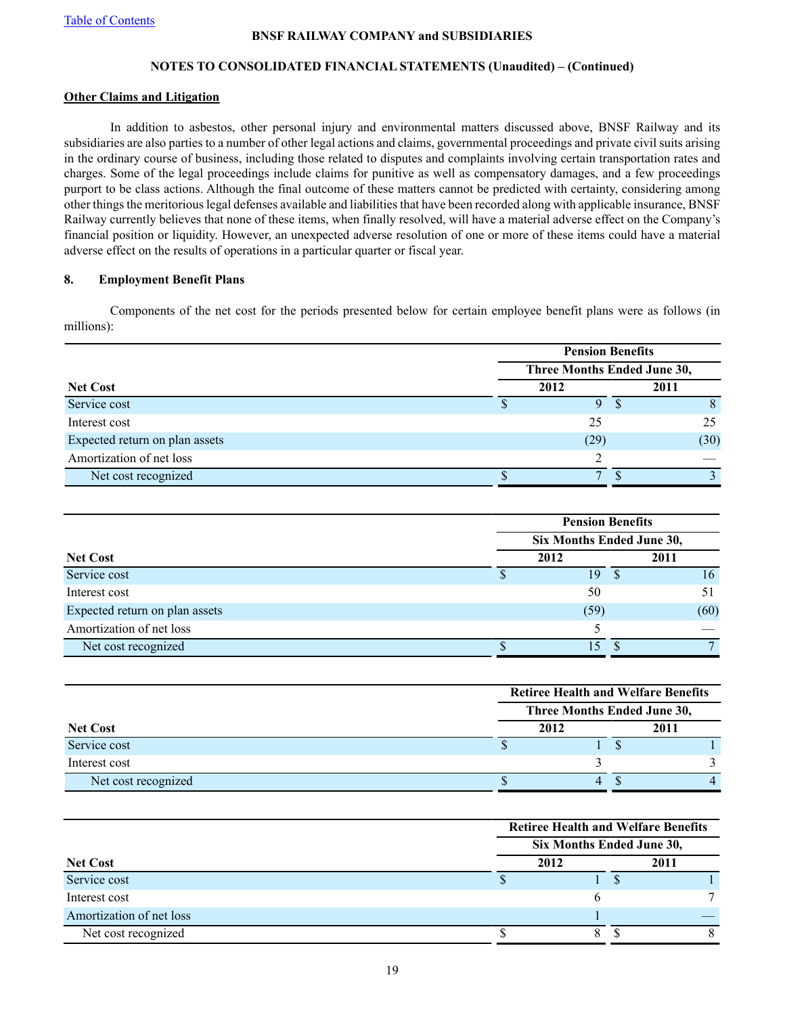# **NOTES TO CONSOLIDATED FINANCIAL STATEMENTS (Unaudited) – (Continued)**

### **Other Claims and Litigation**

In addition to asbestos, other personal injury and environmental matters discussed above, BNSF Railway and its subsidiaries are also parties to a number of other legal actions and claims, governmental proceedings and private civil suits arising in the ordinary course of business, including those related to disputes and complaints involving certain transportation rates and charges. Some of the legal proceedings include claims for punitive as well as compensatory damages, and a few proceedings purport to be class actions. Although the final outcome of these matters cannot be predicted with certainty, considering among other things the meritorious legal defenses available and liabilities that have been recorded along with applicable insurance, BNSF Railway currently believes that none of these items, when finally resolved, will have a material adverse effect on the Company's financial position or liquidity. However, an unexpected adverse resolution of one or more of these items could have a material adverse effect on the results of operations in a particular quarter or fiscal year.

# **8. Employment Benefit Plans**

Components of the net cost for the periods presented below for certain employee benefit plans were as follows (in millions):

|                                | <b>Pension Benefits</b> |                             |  |      |  |  |  |
|--------------------------------|-------------------------|-----------------------------|--|------|--|--|--|
|                                |                         | Three Months Ended June 30, |  |      |  |  |  |
| <b>Net Cost</b>                |                         | 2012                        |  | 2011 |  |  |  |
| Service cost                   |                         | Q                           |  | 8    |  |  |  |
| Interest cost                  |                         | 25                          |  | 25   |  |  |  |
| Expected return on plan assets |                         | (29)                        |  | (30) |  |  |  |
| Amortization of net loss       |                         |                             |  |      |  |  |  |
| Net cost recognized            |                         | $\mathbf{r}$                |  |      |  |  |  |

|                                | <b>Pension Benefits</b>   |  |      |  |  |  |  |
|--------------------------------|---------------------------|--|------|--|--|--|--|
|                                | Six Months Ended June 30, |  |      |  |  |  |  |
| <b>Net Cost</b>                | 2012                      |  | 2011 |  |  |  |  |
| Service cost                   | 19                        |  | 16   |  |  |  |  |
| Interest cost                  | 50                        |  |      |  |  |  |  |
| Expected return on plan assets | (59)                      |  | (60) |  |  |  |  |
| Amortization of net loss       |                           |  |      |  |  |  |  |
| Net cost recognized            | 15                        |  |      |  |  |  |  |

|                     | <b>Retiree Health and Welfare Benefits</b> |      |  |      |
|---------------------|--------------------------------------------|------|--|------|
|                     | Three Months Ended June 30,                |      |  |      |
| <b>Net Cost</b>     |                                            | 2012 |  | 2011 |
| Service cost        |                                            |      |  |      |
| Interest cost       |                                            |      |  |      |
| Net cost recognized |                                            | 4    |  |      |

|                          | <b>Retiree Health and Welfare Benefits</b> |      |  |      |  |
|--------------------------|--------------------------------------------|------|--|------|--|
|                          | Six Months Ended June 30,                  |      |  |      |  |
| <b>Net Cost</b>          |                                            | 2012 |  | 2011 |  |
| Service cost             |                                            |      |  |      |  |
| Interest cost            |                                            |      |  |      |  |
| Amortization of net loss |                                            |      |  |      |  |
| Net cost recognized      |                                            |      |  |      |  |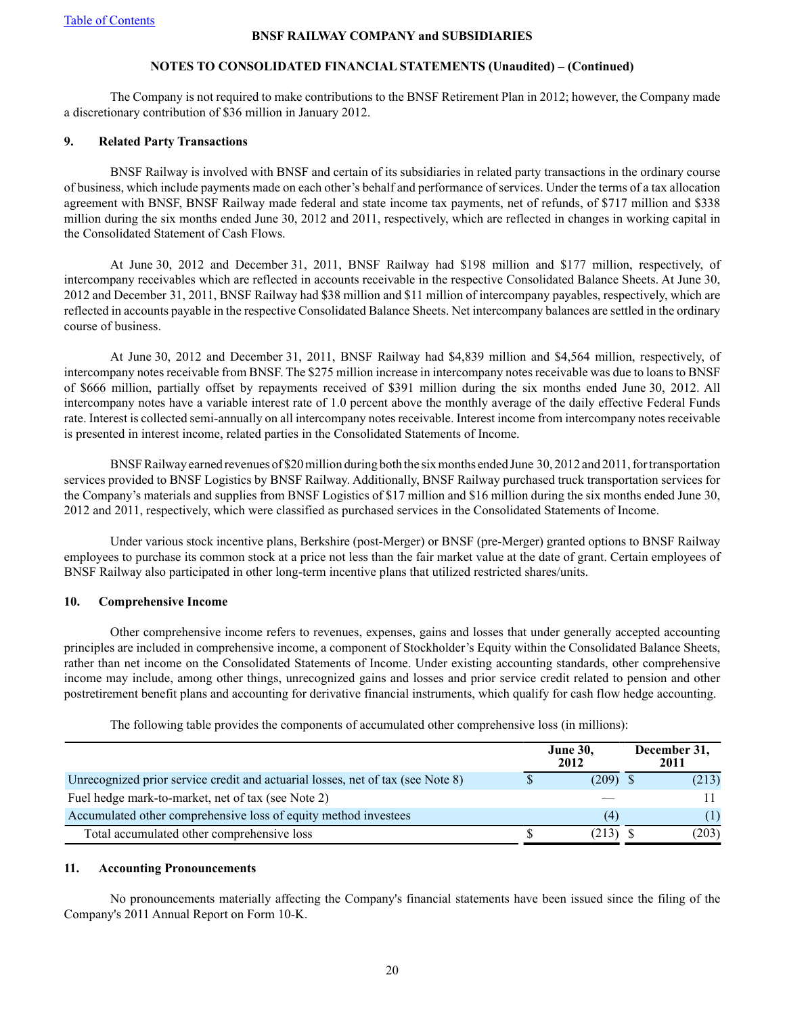# **NOTES TO CONSOLIDATED FINANCIAL STATEMENTS (Unaudited) – (Continued)**

The Company is not required to make contributions to the BNSF Retirement Plan in 2012; however, the Company made a discretionary contribution of \$36 million in January 2012.

### **9. Related Party Transactions**

BNSF Railway is involved with BNSF and certain of its subsidiaries in related party transactions in the ordinary course of business, which include payments made on each other's behalf and performance of services. Under the terms of a tax allocation agreement with BNSF, BNSF Railway made federal and state income tax payments, net of refunds, of \$717 million and \$338 million during the six months ended June 30, 2012 and 2011, respectively, which are reflected in changes in working capital in the Consolidated Statement of Cash Flows.

At June 30, 2012 and December 31, 2011, BNSF Railway had \$198 million and \$177 million, respectively, of intercompany receivables which are reflected in accounts receivable in the respective Consolidated Balance Sheets. At June 30, 2012 and December 31, 2011, BNSF Railway had \$38 million and \$11 million of intercompany payables, respectively, which are reflected in accounts payable in the respective Consolidated Balance Sheets. Net intercompany balances are settled in the ordinary course of business.

At June 30, 2012 and December 31, 2011, BNSF Railway had \$4,839 million and \$4,564 million, respectively, of intercompany notes receivable from BNSF. The \$275 million increase in intercompany notes receivable was due to loans to BNSF of \$666 million, partially offset by repayments received of \$391 million during the six months ended June 30, 2012. All intercompany notes have a variable interest rate of 1.0 percent above the monthly average of the daily effective Federal Funds rate. Interest is collected semi-annually on all intercompany notes receivable. Interest income from intercompany notes receivable is presented in interest income, related parties in the Consolidated Statements of Income.

BNSF Railway earned revenues of \$20 million during both the six months ended June 30, 2012 and 2011, for transportation services provided to BNSF Logistics by BNSF Railway. Additionally, BNSF Railway purchased truck transportation services for the Company's materials and supplies from BNSF Logistics of \$17 million and \$16 million during the six months ended June 30, 2012 and 2011, respectively, which were classified as purchased services in the Consolidated Statements of Income.

Under various stock incentive plans, Berkshire (post-Merger) or BNSF (pre-Merger) granted options to BNSF Railway employees to purchase its common stock at a price not less than the fair market value at the date of grant. Certain employees of BNSF Railway also participated in other long-term incentive plans that utilized restricted shares/units.

# **10. Comprehensive Income**

Other comprehensive income refers to revenues, expenses, gains and losses that under generally accepted accounting principles are included in comprehensive income, a component of Stockholder's Equity within the Consolidated Balance Sheets, rather than net income on the Consolidated Statements of Income. Under existing accounting standards, other comprehensive income may include, among other things, unrecognized gains and losses and prior service credit related to pension and other postretirement benefit plans and accounting for derivative financial instruments, which qualify for cash flow hedge accounting.

|                                                                                 |  | <b>June 30,</b><br>2012 |  | December 31,<br>2011 |
|---------------------------------------------------------------------------------|--|-------------------------|--|----------------------|
| Unrecognized prior service credit and actuarial losses, net of tax (see Note 8) |  | $(209)$ \$              |  | (213)                |
| Fuel hedge mark-to-market, net of tax (see Note 2)                              |  |                         |  | 11                   |
| Accumulated other comprehensive loss of equity method investees                 |  | (4)                     |  | (1)                  |
| Total accumulated other comprehensive loss                                      |  | (213)                   |  | (203)                |

The following table provides the components of accumulated other comprehensive loss (in millions):

# **11. Accounting Pronouncements**

No pronouncements materially affecting the Company's financial statements have been issued since the filing of the Company's 2011 Annual Report on Form 10-K.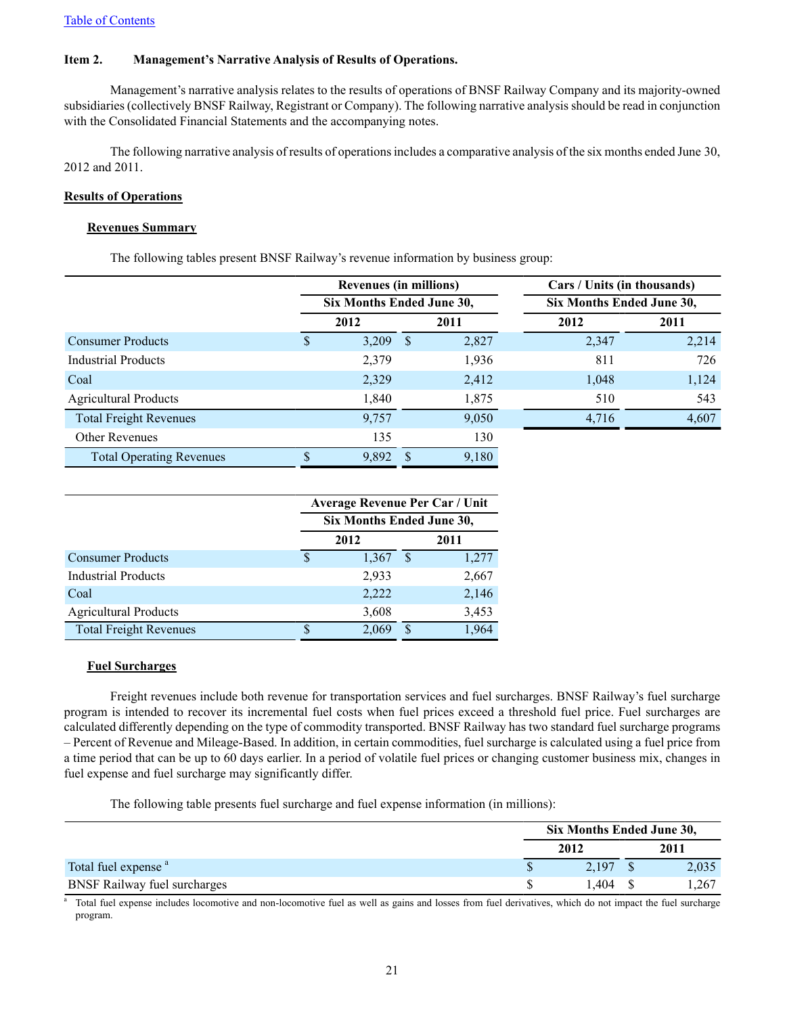# <span id="page-20-0"></span>**Item 2. Management's Narrative Analysis of Results of Operations.**

Management's narrative analysis relates to the results of operations of BNSF Railway Company and its majority-owned subsidiaries (collectively BNSF Railway, Registrant or Company). The following narrative analysis should be read in conjunction with the Consolidated Financial Statements and the accompanying notes.

The following narrative analysis of results of operations includes a comparative analysis of the six months ended June 30, 2012 and 2011.

### **Results of Operations**

### **Revenues Summary**

The following tables present BNSF Railway's revenue information by business group:

|                                 | <b>Revenues (in millions)</b>                          |               |       | Cars / Units (in thousands) |       |  |  |
|---------------------------------|--------------------------------------------------------|---------------|-------|-----------------------------|-------|--|--|
|                                 | Six Months Ended June 30,<br>Six Months Ended June 30, |               |       |                             |       |  |  |
|                                 | 2012                                                   |               | 2011  | 2012                        | 2011  |  |  |
| <b>Consumer Products</b>        | $3,209$ \$                                             |               | 2,827 | 2,347                       | 2,214 |  |  |
| <b>Industrial Products</b>      | 2,379                                                  |               | 1,936 | 811                         | 726   |  |  |
| Coal                            | 2,329                                                  |               | 2,412 | 1,048                       | 1,124 |  |  |
| <b>Agricultural Products</b>    | 1,840                                                  |               | 1,875 | 510                         | 543   |  |  |
| <b>Total Freight Revenues</b>   | 9,757                                                  |               | 9,050 | 4,716                       | 4,607 |  |  |
| <b>Other Revenues</b>           | 135                                                    |               | 130   |                             |       |  |  |
| <b>Total Operating Revenues</b> | 9,892                                                  | <sup>\$</sup> | 9,180 |                             |       |  |  |

|                               | <b>Average Revenue Per Car / Unit</b> |       |      |       |  |  |
|-------------------------------|---------------------------------------|-------|------|-------|--|--|
|                               | Six Months Ended June 30,             |       |      |       |  |  |
|                               |                                       | 2012  | 2011 |       |  |  |
| <b>Consumer Products</b>      | S                                     | 1,367 | S    | 1,277 |  |  |
| <b>Industrial Products</b>    |                                       | 2,933 |      | 2,667 |  |  |
| Coal                          |                                       | 2,222 |      | 2,146 |  |  |
| <b>Agricultural Products</b>  |                                       | 3,608 |      | 3,453 |  |  |
| <b>Total Freight Revenues</b> |                                       | 2,069 | S    | 1,964 |  |  |

#### **Fuel Surcharges**

Freight revenues include both revenue for transportation services and fuel surcharges. BNSF Railway's fuel surcharge program is intended to recover its incremental fuel costs when fuel prices exceed a threshold fuel price. Fuel surcharges are calculated differently depending on the type of commodity transported. BNSF Railway has two standard fuel surcharge programs – Percent of Revenue and Mileage-Based. In addition, in certain commodities, fuel surcharge is calculated using a fuel price from a time period that can be up to 60 days earlier. In a period of volatile fuel prices or changing customer business mix, changes in fuel expense and fuel surcharge may significantly differ.

The following table presents fuel surcharge and fuel expense information (in millions):

|                                     | Six Months Ended June 30, |  |       |  |  |
|-------------------------------------|---------------------------|--|-------|--|--|
|                                     | 2012                      |  | 2011  |  |  |
| Total fuel expense <sup>a</sup>     | 2.197                     |  | 2,035 |  |  |
| <b>BNSF Railway fuel surcharges</b> | .404                      |  | 1,267 |  |  |

Total fuel expense includes locomotive and non-locomotive fuel as well as gains and losses from fuel derivatives, which do not impact the fuel surcharge program.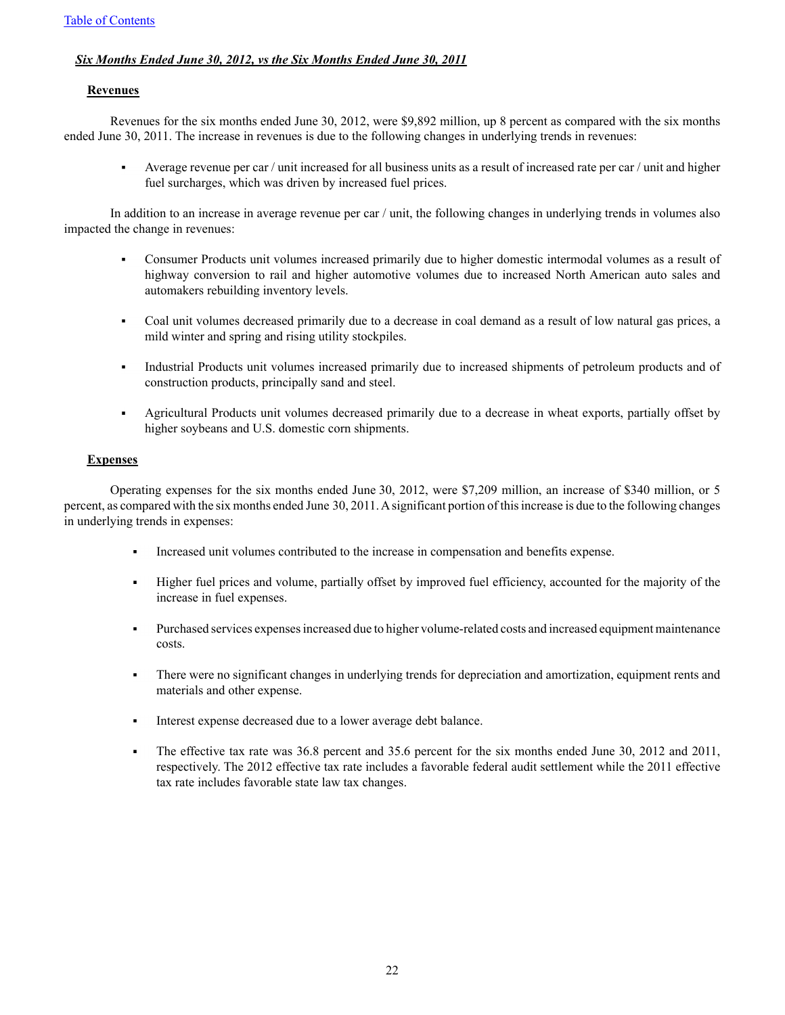# *Six Months Ended June 30, 2012, vs the Six Months Ended June 30, 2011*

### **Revenues**

Revenues for the six months ended June 30, 2012, were \$9,892 million, up 8 percent as compared with the six months ended June 30, 2011. The increase in revenues is due to the following changes in underlying trends in revenues:

 $\blacksquare$ Average revenue per car / unit increased for all business units as a result of increased rate per car / unit and higher fuel surcharges, which was driven by increased fuel prices.

In addition to an increase in average revenue per car / unit, the following changes in underlying trends in volumes also impacted the change in revenues:

- $\blacksquare$ Consumer Products unit volumes increased primarily due to higher domestic intermodal volumes as a result of highway conversion to rail and higher automotive volumes due to increased North American auto sales and automakers rebuilding inventory levels.
- Coal unit volumes decreased primarily due to a decrease in coal demand as a result of low natural gas prices, a  $\mathbf{r}$  . mild winter and spring and rising utility stockpiles.
- Industrial Products unit volumes increased primarily due to increased shipments of petroleum products and of  $\blacksquare$ construction products, principally sand and steel.
- $\blacksquare$ Agricultural Products unit volumes decreased primarily due to a decrease in wheat exports, partially offset by higher soybeans and U.S. domestic corn shipments.

### **Expenses**

Operating expenses for the six months ended June 30, 2012, were \$7,209 million, an increase of \$340 million, or 5 percent, as compared with the six months ended June 30, 2011. Asignificant portion of this increase is due to the following changes in underlying trends in expenses:

- Increased unit volumes contributed to the increase in compensation and benefits expense.
- Higher fuel prices and volume, partially offset by improved fuel efficiency, accounted for the majority of the increase in fuel expenses.
- Purchased services expenses increased due to higher volume-related costs and increased equipment maintenance costs.
- There were no significant changes in underlying trends for depreciation and amortization, equipment rents and materials and other expense.
- Interest expense decreased due to a lower average debt balance.
- The effective tax rate was 36.8 percent and 35.6 percent for the six months ended June 30, 2012 and 2011, respectively. The 2012 effective tax rate includes a favorable federal audit settlement while the 2011 effective tax rate includes favorable state law tax changes.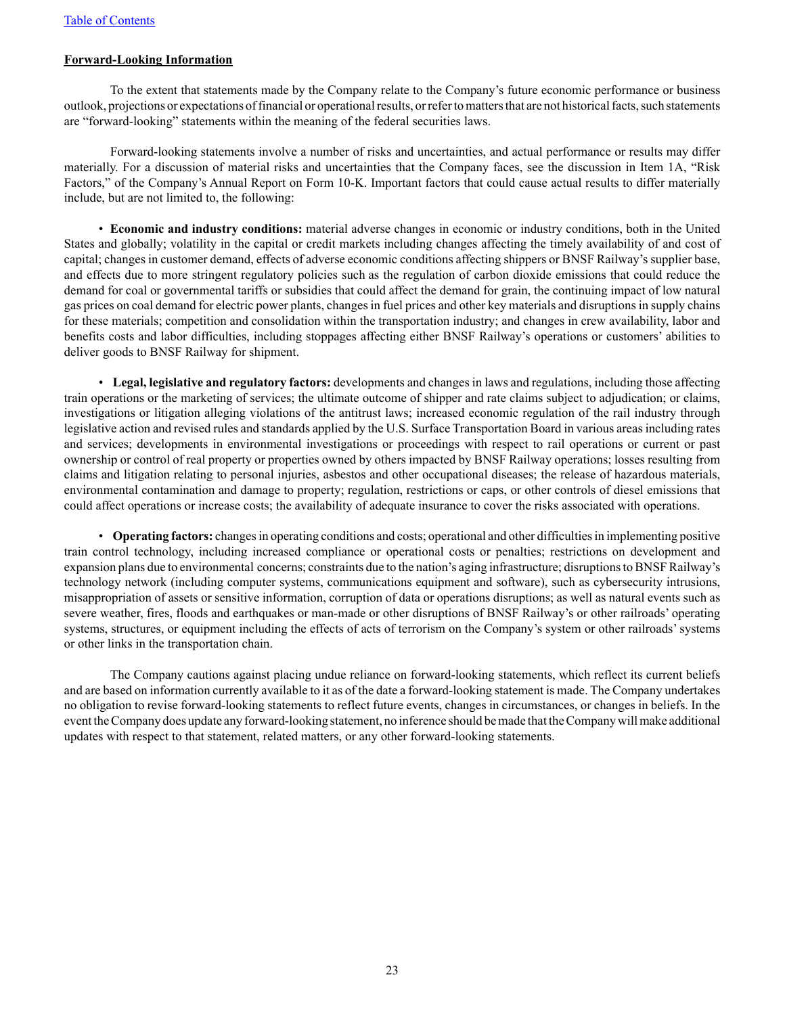### **Forward-Looking Information**

To the extent that statements made by the Company relate to the Company's future economic performance or business outlook, projections or expectations of financial or operational results, or refer to matters that are not historical facts, such statements are "forward-looking" statements within the meaning of the federal securities laws.

Forward-looking statements involve a number of risks and uncertainties, and actual performance or results may differ materially. For a discussion of material risks and uncertainties that the Company faces, see the discussion in Item 1A, "Risk Factors," of the Company's Annual Report on Form 10-K. Important factors that could cause actual results to differ materially include, but are not limited to, the following:

• **Economic and industry conditions:** material adverse changes in economic or industry conditions, both in the United States and globally; volatility in the capital or credit markets including changes affecting the timely availability of and cost of capital; changes in customer demand, effects of adverse economic conditions affecting shippers or BNSF Railway's supplier base, and effects due to more stringent regulatory policies such as the regulation of carbon dioxide emissions that could reduce the demand for coal or governmental tariffs or subsidies that could affect the demand for grain, the continuing impact of low natural gas prices on coal demand for electric power plants, changes in fuel prices and other key materials and disruptions in supply chains for these materials; competition and consolidation within the transportation industry; and changes in crew availability, labor and benefits costs and labor difficulties, including stoppages affecting either BNSF Railway's operations or customers' abilities to deliver goods to BNSF Railway for shipment.

• **Legal, legislative and regulatory factors:** developments and changes in laws and regulations, including those affecting train operations or the marketing of services; the ultimate outcome of shipper and rate claims subject to adjudication; or claims, investigations or litigation alleging violations of the antitrust laws; increased economic regulation of the rail industry through legislative action and revised rules and standards applied by the U.S. Surface Transportation Board in various areas including rates and services; developments in environmental investigations or proceedings with respect to rail operations or current or past ownership or control of real property or properties owned by others impacted by BNSF Railway operations; losses resulting from claims and litigation relating to personal injuries, asbestos and other occupational diseases; the release of hazardous materials, environmental contamination and damage to property; regulation, restrictions or caps, or other controls of diesel emissions that could affect operations or increase costs; the availability of adequate insurance to cover the risks associated with operations.

• **Operating factors:** changes in operating conditions and costs; operational and other difficulties in implementing positive train control technology, including increased compliance or operational costs or penalties; restrictions on development and expansion plans due to environmental concerns; constraints due to the nation's aging infrastructure; disruptions to BNSF Railway's technology network (including computer systems, communications equipment and software), such as cybersecurity intrusions, misappropriation of assets or sensitive information, corruption of data or operations disruptions; as well as natural events such as severe weather, fires, floods and earthquakes or man-made or other disruptions of BNSF Railway's or other railroads' operating systems, structures, or equipment including the effects of acts of terrorism on the Company's system or other railroads'systems or other links in the transportation chain.

The Company cautions against placing undue reliance on forward-looking statements, which reflect its current beliefs and are based on information currently available to it as of the date a forward-looking statement is made. The Company undertakes no obligation to revise forward-looking statements to reflect future events, changes in circumstances, or changes in beliefs. In the event the Company does update any forward-looking statement, no inference should be made that the Company will make additional updates with respect to that statement, related matters, or any other forward-looking statements.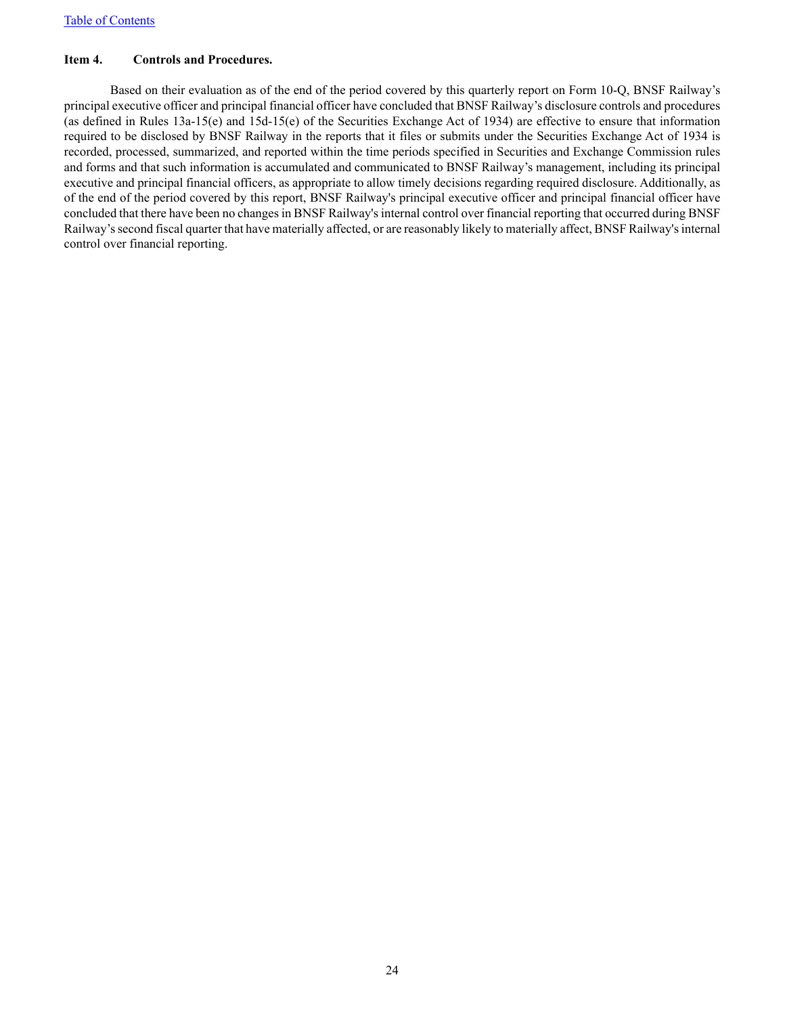# <span id="page-23-0"></span>**Item 4. Controls and Procedures.**

Based on their evaluation as of the end of the period covered by this quarterly report on Form 10-Q, BNSF Railway's principal executive officer and principal financial officer have concluded that BNSF Railway's disclosure controls and procedures (as defined in Rules 13a-15(e) and 15d-15(e) of the Securities Exchange Act of 1934) are effective to ensure that information required to be disclosed by BNSF Railway in the reports that it files or submits under the Securities Exchange Act of 1934 is recorded, processed, summarized, and reported within the time periods specified in Securities and Exchange Commission rules and forms and that such information is accumulated and communicated to BNSF Railway's management, including its principal executive and principal financial officers, as appropriate to allow timely decisions regarding required disclosure. Additionally, as of the end of the period covered by this report, BNSF Railway's principal executive officer and principal financial officer have concluded that there have been no changes in BNSF Railway's internal control over financial reporting that occurred during BNSF Railway's second fiscal quarter that have materially affected, or are reasonably likely to materially affect, BNSF Railway's internal control over financial reporting.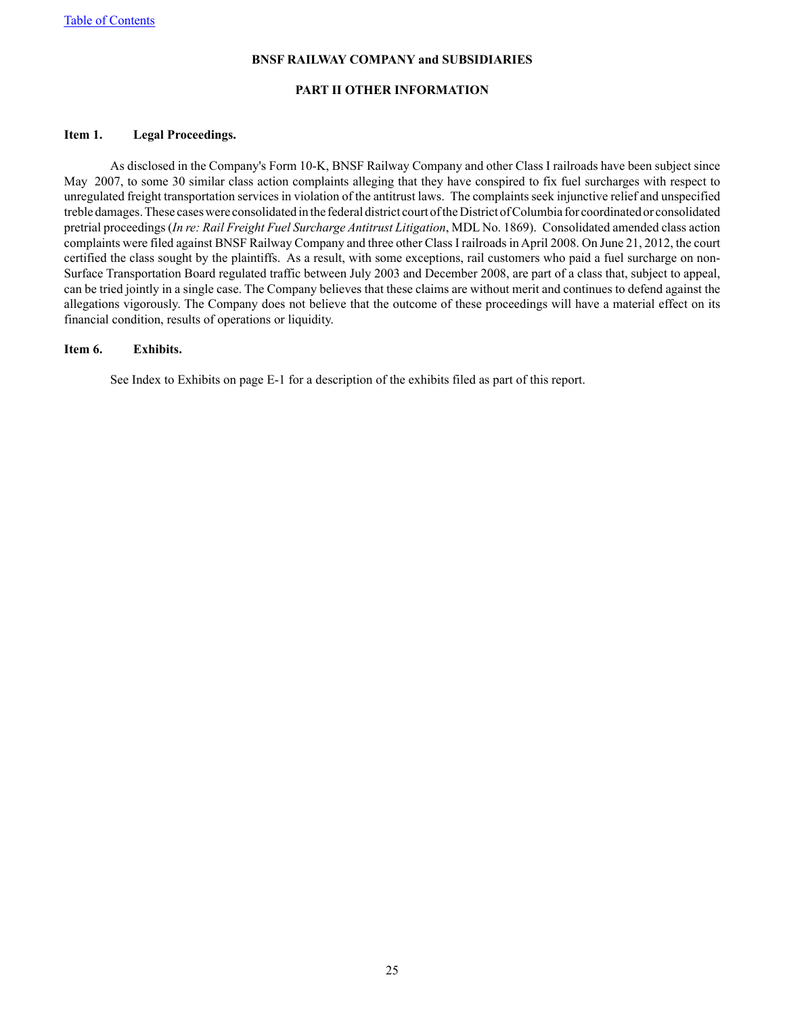#### **PART II OTHER INFORMATION**

#### <span id="page-24-0"></span>**Item 1. Legal Proceedings.**

As disclosed in the Company's Form 10-K, BNSF Railway Company and other Class I railroads have been subject since May 2007, to some 30 similar class action complaints alleging that they have conspired to fix fuel surcharges with respect to unregulated freight transportation services in violation of the antitrust laws. The complaints seek injunctive relief and unspecified treble damages. These cases were consolidated in the federal district court of the District of Columbia for coordinated or consolidated pretrial proceedings (*In re: Rail Freight Fuel Surcharge Antitrust Litigation*, MDL No. 1869). Consolidated amended class action complaints were filed against BNSF Railway Company and three other Class I railroads in April 2008. On June 21, 2012, the court certified the class sought by the plaintiffs. As a result, with some exceptions, rail customers who paid a fuel surcharge on non-Surface Transportation Board regulated traffic between July 2003 and December 2008, are part of a class that, subject to appeal, can be tried jointly in a single case. The Company believes that these claims are without merit and continues to defend against the allegations vigorously. The Company does not believe that the outcome of these proceedings will have a material effect on its financial condition, results of operations or liquidity.

### <span id="page-24-1"></span>**Item 6. Exhibits.**

See Index to Exhibits on page E-1 for a description of the exhibits filed as part of this report.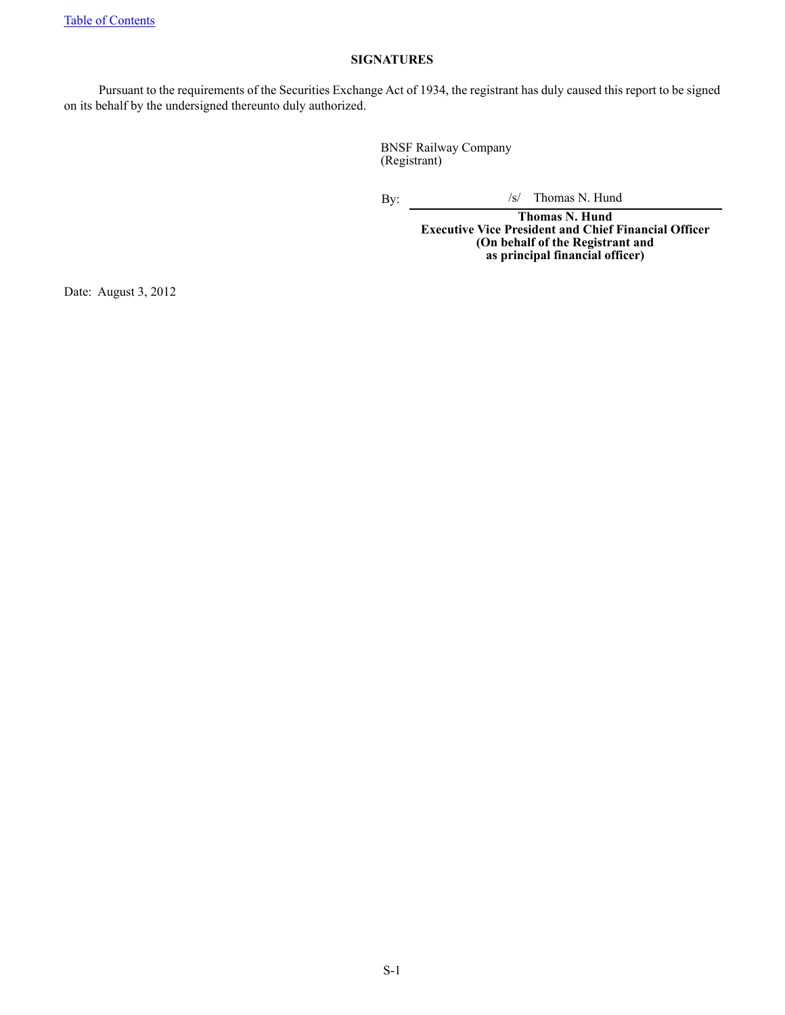# **SIGNATURES**

<span id="page-25-0"></span>Pursuant to the requirements of the Securities Exchange Act of 1934, the registrant has duly caused this report to be signed on its behalf by the undersigned thereunto duly authorized.

> BNSF Railway Company (Registrant)

By:  $\frac{1}{s}$  Thomas N. Hund

**Thomas N. Hund Executive Vice President and Chief Financial Officer (On behalf of the Registrant and as principal financial officer)**

Date: August 3, 2012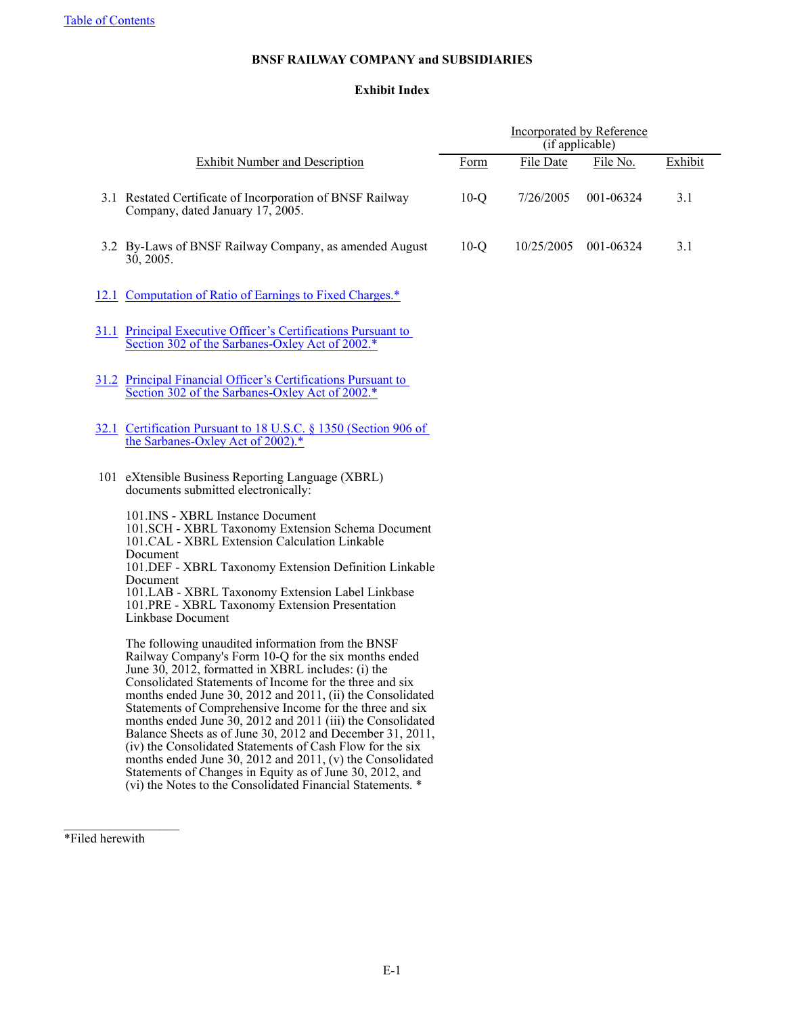# **Exhibit Index**

<span id="page-26-0"></span>

|                                                                                                                                                                                                                                                                                                                                                                                                                                                                                                                                                                                                                                                                                                                                     | Incorporated by Reference<br>(if applicable) |            |           |         |  |
|-------------------------------------------------------------------------------------------------------------------------------------------------------------------------------------------------------------------------------------------------------------------------------------------------------------------------------------------------------------------------------------------------------------------------------------------------------------------------------------------------------------------------------------------------------------------------------------------------------------------------------------------------------------------------------------------------------------------------------------|----------------------------------------------|------------|-----------|---------|--|
| <b>Exhibit Number and Description</b>                                                                                                                                                                                                                                                                                                                                                                                                                                                                                                                                                                                                                                                                                               | Form                                         | File Date  | File No.  | Exhibit |  |
| 3.1 Restated Certificate of Incorporation of BNSF Railway<br>Company, dated January 17, 2005.                                                                                                                                                                                                                                                                                                                                                                                                                                                                                                                                                                                                                                       | $10-Q$                                       | 7/26/2005  | 001-06324 | 3.1     |  |
| 3.2 By-Laws of BNSF Railway Company, as amended August<br>30, 2005.                                                                                                                                                                                                                                                                                                                                                                                                                                                                                                                                                                                                                                                                 | $10-Q$                                       | 10/25/2005 | 001-06324 | 3.1     |  |
| 12.1 Computation of Ratio of Earnings to Fixed Charges.*                                                                                                                                                                                                                                                                                                                                                                                                                                                                                                                                                                                                                                                                            |                                              |            |           |         |  |
| 31.1 Principal Executive Officer's Certifications Pursuant to<br>Section 302 of the Sarbanes-Oxley Act of 2002.*                                                                                                                                                                                                                                                                                                                                                                                                                                                                                                                                                                                                                    |                                              |            |           |         |  |
| 31.2 Principal Financial Officer's Certifications Pursuant to<br>Section 302 of the Sarbanes-Oxley Act of 2002.*                                                                                                                                                                                                                                                                                                                                                                                                                                                                                                                                                                                                                    |                                              |            |           |         |  |
| 32.1 Certification Pursuant to 18 U.S.C. § 1350 (Section 906 of<br>the Sarbanes-Oxley Act of 2002).*                                                                                                                                                                                                                                                                                                                                                                                                                                                                                                                                                                                                                                |                                              |            |           |         |  |
| 101 eXtensible Business Reporting Language (XBRL)<br>documents submitted electronically:                                                                                                                                                                                                                                                                                                                                                                                                                                                                                                                                                                                                                                            |                                              |            |           |         |  |
| 101. INS - XBRL Instance Document<br>101.SCH - XBRL Taxonomy Extension Schema Document<br>101.CAL - XBRL Extension Calculation Linkable<br>Document<br>101.DEF - XBRL Taxonomy Extension Definition Linkable<br>Document<br>101.LAB - XBRL Taxonomy Extension Label Linkbase<br>101.PRE - XBRL Taxonomy Extension Presentation<br>Linkbase Document                                                                                                                                                                                                                                                                                                                                                                                 |                                              |            |           |         |  |
| The following unaudited information from the BNSF<br>Railway Company's Form 10-Q for the six months ended<br>June 30, 2012, formatted in XBRL includes: (i) the<br>Consolidated Statements of Income for the three and six<br>months ended June 30, 2012 and 2011, (ii) the Consolidated<br>Statements of Comprehensive Income for the three and six<br>months ended June 30, 2012 and 2011 (iii) the Consolidated<br>Balance Sheets as of June 30, 2012 and December 31, 2011,<br>(iv) the Consolidated Statements of Cash Flow for the six<br>months ended June 30, 2012 and 2011, (v) the Consolidated<br>Statements of Changes in Equity as of June 30, 2012, and<br>(vi) the Notes to the Consolidated Financial Statements. * |                                              |            |           |         |  |

\*Filed herewith

 $\frac{1}{2}$  ,  $\frac{1}{2}$  ,  $\frac{1}{2}$  ,  $\frac{1}{2}$  ,  $\frac{1}{2}$  ,  $\frac{1}{2}$  ,  $\frac{1}{2}$  ,  $\frac{1}{2}$  ,  $\frac{1}{2}$  ,  $\frac{1}{2}$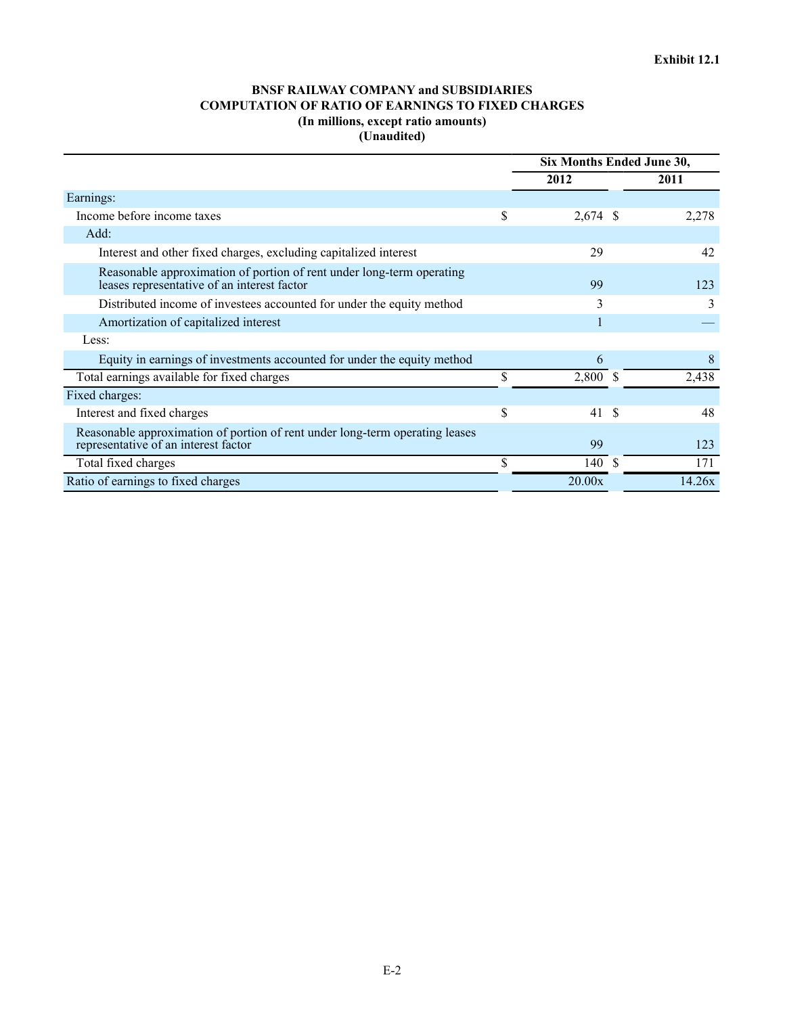# **BNSF RAILWAY COMPANY and SUBSIDIARIES COMPUTATION OF RATIO OF EARNINGS TO FIXED CHARGES (In millions, except ratio amounts) (Unaudited)**

<span id="page-27-0"></span>

|                                                                                                                      |    | Six Months Ended June 30, |    |        |  |
|----------------------------------------------------------------------------------------------------------------------|----|---------------------------|----|--------|--|
|                                                                                                                      |    | 2012                      |    | 2011   |  |
| Earnings:                                                                                                            |    |                           |    |        |  |
| Income before income taxes                                                                                           | \$ | $2,674$ \$                |    | 2,278  |  |
| Add:                                                                                                                 |    |                           |    |        |  |
| Interest and other fixed charges, excluding capitalized interest                                                     |    | 29                        |    | 42     |  |
| Reasonable approximation of portion of rent under long-term operating<br>leases representative of an interest factor |    | 99                        |    | 123    |  |
| Distributed income of investees accounted for under the equity method                                                |    | 3                         |    | 3      |  |
| Amortization of capitalized interest                                                                                 |    |                           |    |        |  |
| Less:                                                                                                                |    |                           |    |        |  |
| Equity in earnings of investments accounted for under the equity method                                              |    | 6                         |    | 8      |  |
| Total earnings available for fixed charges                                                                           | S  | 2,800 \$                  |    | 2,438  |  |
| Fixed charges:                                                                                                       |    |                           |    |        |  |
| Interest and fixed charges                                                                                           | \$ | 41                        | -8 | 48     |  |
| Reasonable approximation of portion of rent under long-term operating leases<br>representative of an interest factor |    | 99                        |    | 123    |  |
| Total fixed charges                                                                                                  | \$ | 140                       | -8 | 171    |  |
| Ratio of earnings to fixed charges                                                                                   |    | 20.00x                    |    | 14.26x |  |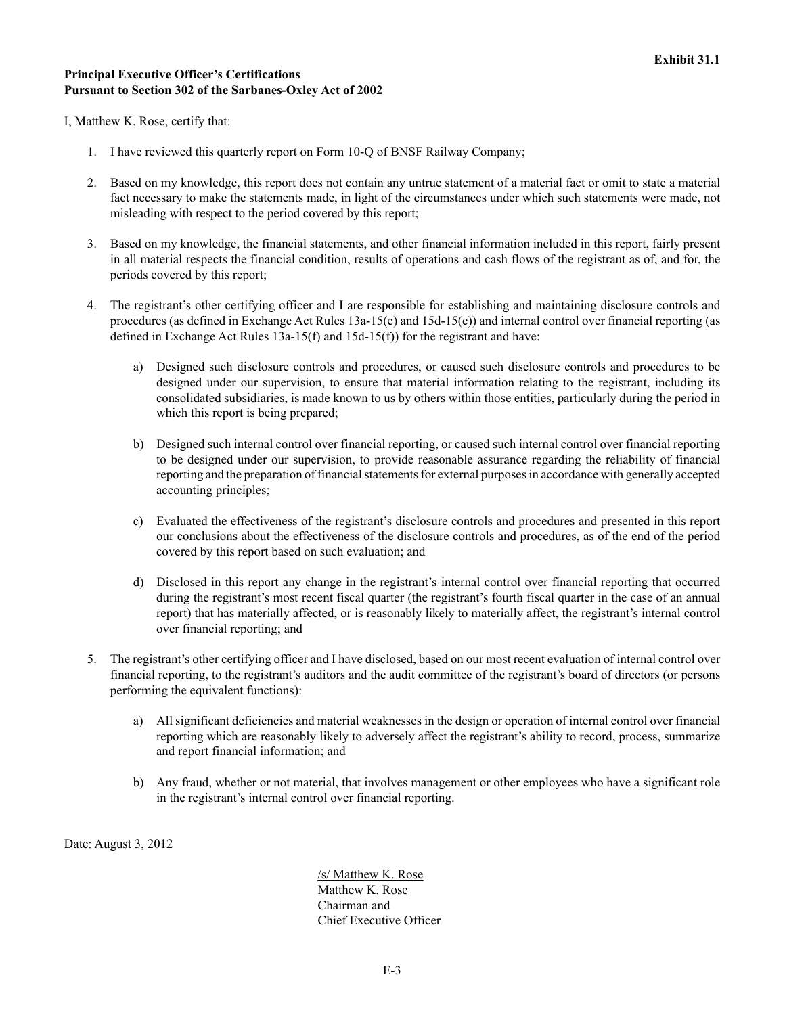# <span id="page-28-0"></span>**Principal Executive Officer's Certifications Pursuant to Section 302 of the Sarbanes-Oxley Act of 2002**

I, Matthew K. Rose, certify that:

- 1. I have reviewed this quarterly report on Form 10-Q of BNSF Railway Company;
- 2. Based on my knowledge, this report does not contain any untrue statement of a material fact or omit to state a material fact necessary to make the statements made, in light of the circumstances under which such statements were made, not misleading with respect to the period covered by this report;
- 3. Based on my knowledge, the financial statements, and other financial information included in this report, fairly present in all material respects the financial condition, results of operations and cash flows of the registrant as of, and for, the periods covered by this report;
- 4. The registrant's other certifying officer and I are responsible for establishing and maintaining disclosure controls and procedures (as defined in Exchange Act Rules 13a-15(e) and 15d-15(e)) and internal control over financial reporting (as defined in Exchange Act Rules 13a-15(f) and 15d-15(f)) for the registrant and have:
	- a) Designed such disclosure controls and procedures, or caused such disclosure controls and procedures to be designed under our supervision, to ensure that material information relating to the registrant, including its consolidated subsidiaries, is made known to us by others within those entities, particularly during the period in which this report is being prepared;
	- b) Designed such internal control over financial reporting, or caused such internal control over financial reporting to be designed under our supervision, to provide reasonable assurance regarding the reliability of financial reporting and the preparation of financial statements for external purposes in accordance with generally accepted accounting principles;
	- c) Evaluated the effectiveness of the registrant's disclosure controls and procedures and presented in this report our conclusions about the effectiveness of the disclosure controls and procedures, as of the end of the period covered by this report based on such evaluation; and
	- d) Disclosed in this report any change in the registrant's internal control over financial reporting that occurred during the registrant's most recent fiscal quarter (the registrant's fourth fiscal quarter in the case of an annual report) that has materially affected, or is reasonably likely to materially affect, the registrant's internal control over financial reporting; and
- 5. The registrant's other certifying officer and I have disclosed, based on our most recent evaluation of internal control over financial reporting, to the registrant's auditors and the audit committee of the registrant's board of directors (or persons performing the equivalent functions):
	- a) All significant deficiencies and material weaknesses in the design or operation of internal control over financial reporting which are reasonably likely to adversely affect the registrant's ability to record, process, summarize and report financial information; and
	- b) Any fraud, whether or not material, that involves management or other employees who have a significant role in the registrant's internal control over financial reporting.

Date: August 3, 2012

/s/ Matthew K. Rose Matthew K. Rose Chairman and Chief Executive Officer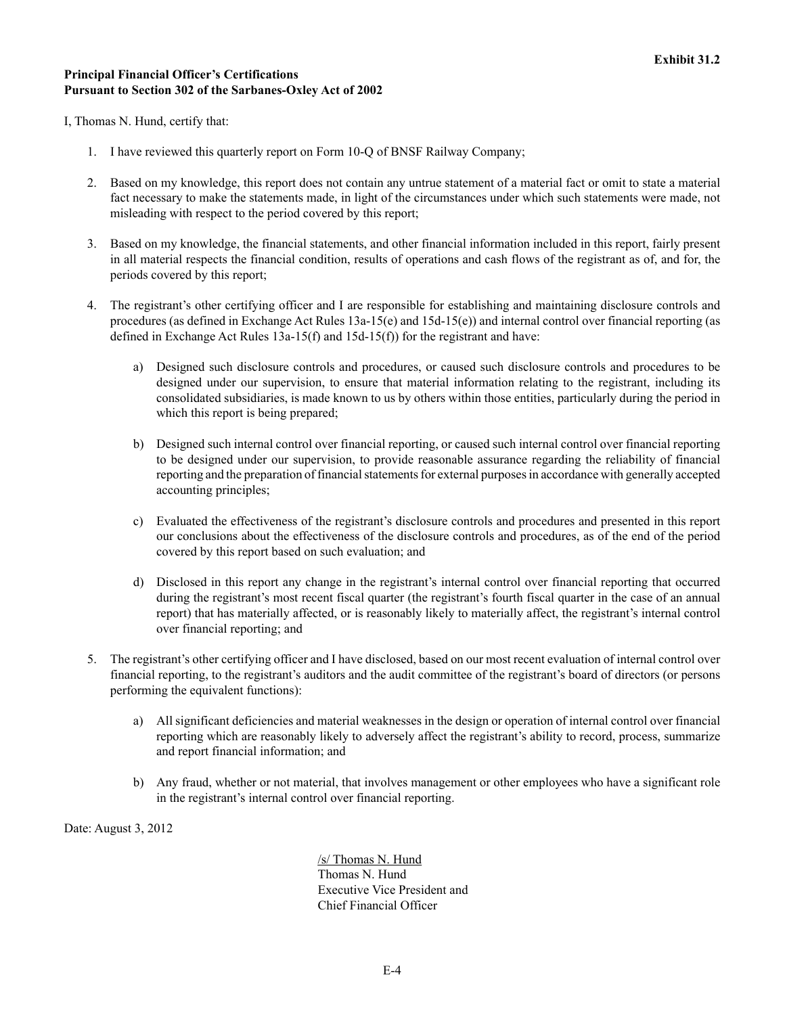# <span id="page-29-0"></span>**Principal Financial Officer's Certifications Pursuant to Section 302 of the Sarbanes-Oxley Act of 2002**

I, Thomas N. Hund, certify that:

- 1. I have reviewed this quarterly report on Form 10-Q of BNSF Railway Company;
- 2. Based on my knowledge, this report does not contain any untrue statement of a material fact or omit to state a material fact necessary to make the statements made, in light of the circumstances under which such statements were made, not misleading with respect to the period covered by this report;
- 3. Based on my knowledge, the financial statements, and other financial information included in this report, fairly present in all material respects the financial condition, results of operations and cash flows of the registrant as of, and for, the periods covered by this report;
- 4. The registrant's other certifying officer and I are responsible for establishing and maintaining disclosure controls and procedures (as defined in Exchange Act Rules 13a-15(e) and 15d-15(e)) and internal control over financial reporting (as defined in Exchange Act Rules 13a-15(f) and 15d-15(f)) for the registrant and have:
	- a) Designed such disclosure controls and procedures, or caused such disclosure controls and procedures to be designed under our supervision, to ensure that material information relating to the registrant, including its consolidated subsidiaries, is made known to us by others within those entities, particularly during the period in which this report is being prepared;
	- b) Designed such internal control over financial reporting, or caused such internal control over financial reporting to be designed under our supervision, to provide reasonable assurance regarding the reliability of financial reporting and the preparation of financial statements for external purposes in accordance with generally accepted accounting principles;
	- c) Evaluated the effectiveness of the registrant's disclosure controls and procedures and presented in this report our conclusions about the effectiveness of the disclosure controls and procedures, as of the end of the period covered by this report based on such evaluation; and
	- d) Disclosed in this report any change in the registrant's internal control over financial reporting that occurred during the registrant's most recent fiscal quarter (the registrant's fourth fiscal quarter in the case of an annual report) that has materially affected, or is reasonably likely to materially affect, the registrant's internal control over financial reporting; and
- 5. The registrant's other certifying officer and I have disclosed, based on our most recent evaluation of internal control over financial reporting, to the registrant's auditors and the audit committee of the registrant's board of directors (or persons performing the equivalent functions):
	- a) All significant deficiencies and material weaknesses in the design or operation of internal control over financial reporting which are reasonably likely to adversely affect the registrant's ability to record, process, summarize and report financial information; and
	- b) Any fraud, whether or not material, that involves management or other employees who have a significant role in the registrant's internal control over financial reporting.

Date: August 3, 2012

/s/ Thomas N. Hund Thomas N. Hund Executive Vice President and Chief Financial Officer